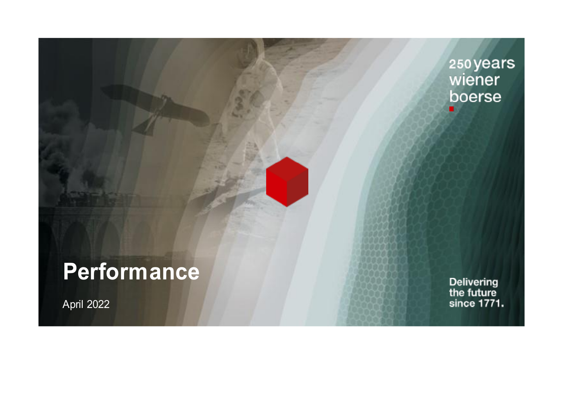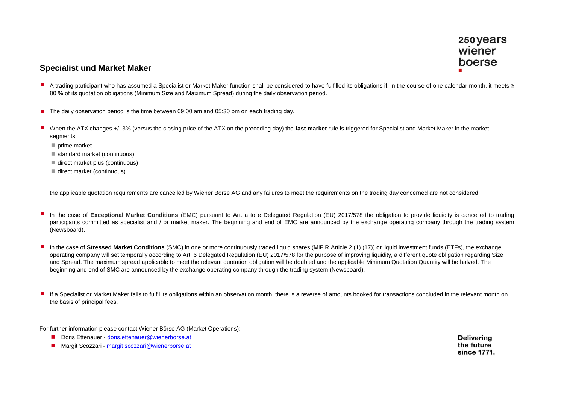### **Specialist und Market Maker**

- A trading participant who has assumed a Specialist or Market Maker function shall be considered to have fulfilled its obligations if, in the course of one calendar month, it meets ≥ 80 % of its quotation obligations (Minimum Size and Maximum Spread) during the daily observation period.
- The daily observation period is the time between 09:00 am and 05:30 pm on each trading day.
- n When the ATX changes +/- 3% (versus the closing price of the ATX on the preceding day) the **fast market** rule is triggered for Specialist and Market Maker in the market segments
	- $p$ rime market
	- standard market (continuous)
	- direct market plus (continuous)
	- direct market (continuous)

the applicable quotation requirements are cancelled by Wiener Börse AG and any failures to meet the requirements on the trading day concerned are not considered.

- In the case of Exceptional Market Conditions (EMC) pursuant to Art. a to e Delegated Regulation (EU) 2017/578 the obligation to provide liquidity is cancelled to trading participants committed as specialist and / or market maker. The beginning and end of EMC are announced by the exchange operating company through the trading system (Newsboard).
- n In the case of **Stressed Market Conditions** (SMC) in one or more continuously traded liquid shares (MiFIR Article 2 (1) (17)) or liquid investment funds (ETFs), the exchange operating company will set temporally according to Art. 6 Delegated Regulation (EU) 2017/578 for the purpose of improving liquidity, a different quote obligation regarding Size and Spread. The maximum spread applicable to meet the relevant quotation obligation will be doubled and the applicable Minimum Quotation Quantity will be halved. The beginning and end of SMC are announced by the exchange operating company through the trading system (Newsboard).
- n If a Specialist or Market Maker fails to fulfil its obligations within an observation month, there is a reverse of amounts booked for transactions concluded in the relevant month on the basis of principal fees.

For further information please contact Wiener Börse AG (Market Operations):

- Doris Ettenauer doris.ettenauer@wienerborse.at
- Margit Scozzari margit scozzari@wienerborse.at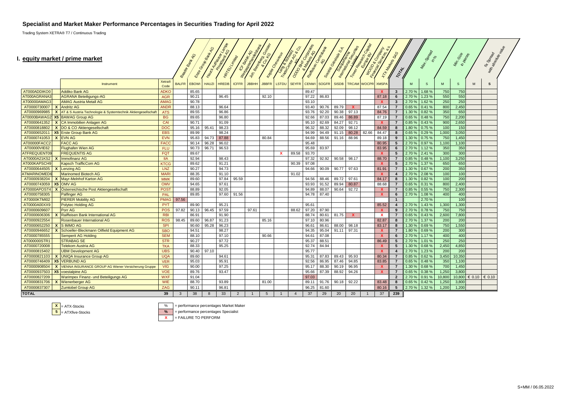#### **Specialist and Market Maker Performance Percentages in Securities Trading for April 2022**

Trading System XETRA® T7 / Continuous Trading

#### **I. equity market / prime market**

|                                           | equity market / prime market                                  |                       |              | <b>Bank 40</b><br>Eisee | <b>SOON BOOK</b><br>Yang Kutha Risan | HRTEL Limited | 104          | BANKAG<br>Jon Beeples<br>Ilemaniana | Gossier<br>$\mathcal{C}_{\mathcal{O}}$ | <b>Tesyan Check</b><br>Transparently | ODO BHK Concrete |              | Railways Communication | $S_{\vec{A}}$<br>Societé Gerecie de L<br><b>Contraction</b><br>Interprise India | To May Reason of | MOOD & Company<br>manosay | <b>TTHANKING</b>          | SPS<br>IDIAL            |        | Max-150-80        |        | Min. Sixo<br>In pieces |                      | <b>Vert</b><br>NT-SDRBad<br>With absorption |
|-------------------------------------------|---------------------------------------------------------------|-----------------------|--------------|-------------------------|--------------------------------------|---------------|--------------|-------------------------------------|----------------------------------------|--------------------------------------|------------------|--------------|------------------------|---------------------------------------------------------------------------------|------------------|---------------------------|---------------------------|-------------------------|--------|-------------------|--------|------------------------|----------------------|---------------------------------------------|
|                                           | Instrument                                                    | <b>Xetra®</b><br>Code | <b>BALFR</b> | <b>EBOWI</b>            | <b>HAUZI</b>                         | <b>HREDB</b>  | <b>ICFFR</b> | <b>JBBHH</b>                        | <b>JBBFR</b>                           | <b>LSTDU</b>                         | <b>SEYFR</b>     | <b>CENWI</b> | <b>SOGFR</b>           | <b>SISDB</b>                                                                    | <b>TRCAM</b>     | <b>WOCPR</b>              | <b>XMSPA</b>              |                         | M      | -S                | M      | $\mathsf{s}$           | M                    | s                                           |
| AT000ADDIKO0                              | <b>Addiko Bank AG</b>                                         | <b>ADKO</b>           |              | 85.65                   |                                      |               |              |                                     |                                        |                                      |                  | 89.47        |                        |                                                                                 |                  |                           | X                         | $\mathbf{3}$            | 2.70%  | 1.68 %            | 750    | 750                    |                      |                                             |
| AT000AGRANA                               | <b>AGRANA Beteiligungs-AG</b>                                 | <b>AGR</b>            |              | 90.21                   |                                      | 96.45         |              |                                     | 92.10                                  |                                      |                  | 97.22        | 86.83                  |                                                                                 |                  |                           | 87.18                     | 6                       | 2.70 % | 1.23%             | 550    | 550                    |                      |                                             |
| AT00000AMAG3                              | <b>AMAG Austria Metall AG</b>                                 | <b>AMAG</b>           |              | 90.78                   |                                      |               |              |                                     |                                        |                                      |                  | 93.10        |                        |                                                                                 |                  |                           | $\mathbf{x}$              | $\overline{\mathbf{3}}$ | 2.70%  | 1.62%             | 250    | 250                    |                      |                                             |
| AT0000730007<br>$\boldsymbol{\mathsf{x}}$ | <b>Andritz AG</b>                                             | <b>ANDR</b>           |              | 88.13                   |                                      | 96.64         |              |                                     |                                        |                                      |                  | 93.40        | 90.76                  | 89.79                                                                           | $\mathbf{x}$     |                           | 87.54                     | $\overline{7}$          | 0.65%  | 0.41%             | 800    | 2,450                  |                      |                                             |
| AT0000969985<br>$\boldsymbol{\mathsf{x}}$ | AT & S Austria Technologie & Systemtechnik Aktiengesellschaft | <b>ATS</b>            |              | 89.55                   |                                      | 96.86         |              |                                     |                                        |                                      |                  | 93.76        | 92.20                  | 90.38                                                                           | 97.13            |                           | 84.76                     | $\overline{7}$          | 1.30 % | 0.82%             | 350    | 650                    |                      |                                             |
| AT0000BAWAG2<br><b>X5</b>                 | <b>BAWAG Group AG</b>                                         | <b>BG</b>             |              | 89.65                   |                                      | 96.80         |              |                                     |                                        |                                      |                  | 92.66        | 87.03                  | 89.46                                                                           | 86.89            |                           | 87.19                     | $\overline{7}$          | 0.65 % | 0.48%             | 750    | 2,200                  |                      |                                             |
| AT0000641352<br>$\boldsymbol{x}$          | CA Immobilien Anlagen AG                                      | CAI                   |              | 90.71                   |                                      | 91.09         |              |                                     |                                        |                                      |                  | 95.10        | 82.69                  | 84.27                                                                           | 92.71            |                           | $\mathbf{x}$              | $\overline{7}$          | 0.85 % | 0.43%             | 900    | 2,650                  |                      |                                             |
| AT0000818802                              | DO & CO Aktiengesellschaft                                    | <b>DOC</b>            |              | 95.16                   | 95.41                                | 98.23         |              |                                     |                                        |                                      |                  | 96.32        | 88.32                  | 92.09                                                                           | 98.12            |                           | 84.59                     | 8                       | 1.80%  | 0.75%             | 100    | 150                    |                      |                                             |
| AT0000652011<br>X <sub>5</sub>            | <b>Erste Group Bank AG</b>                                    | <b>EBS</b>            |              | 89.99                   |                                      | 98.24         |              |                                     |                                        |                                      |                  | 94.99        | 94.49                  | 91.15                                                                           | 80.28            | 82.66                     | 84.47                     | 8                       | 0.65 % | 0.29%             | 1,000  | 3,050                  |                      |                                             |
| AT0000741053<br>$\boldsymbol{\mathsf{x}}$ | <b>EVN AG</b>                                                 | <b>EVN</b>            |              | 95.83                   | 94.73                                | 87.88         |              |                                     | 80.84                                  |                                      |                  | 94.69        | 88.56                  | 91.16                                                                           | 88.96            |                           | 89.18                     | 9                       | 1.30 % | 0.75%             | 750    | 1,450                  |                      |                                             |
| AT00000FACC2                              | <b>FACC AG</b>                                                | <b>FACC</b>           |              | 90.14                   | 96.28                                | 96.02         |              |                                     |                                        |                                      |                  | 95.48        |                        |                                                                                 |                  |                           | 80.95                     | 5                       | 2.70%  | 0.97%             | 1,100  | 1,100                  |                      |                                             |
| AT00000VIE62                              | <b>Flughafen Wien AG</b>                                      | <b>FLU</b>            |              | 90.73                   | 96.71                                | 96.53         |              |                                     |                                        |                                      |                  | 95.69        | 83.97                  |                                                                                 |                  |                           | 83.95                     | 6                       | 2.70%  | 1.12%             | 350    | 350                    |                      |                                             |
| <b>ATFREQUENT0</b>                        | <b>FREQUENTIS AG</b>                                          | <b>FQT</b>            |              | 89.67                   |                                      |               |              |                                     |                                        | $\mathbf{x}$                         | 89.58            | 93.70        |                        |                                                                                 |                  |                           | $\mathbf{x}$              | 5                       | 2.70%  | 2.41%             | 300    | 300                    |                      |                                             |
| AT0000A21KS2                              | mmofinanz AG                                                  | <b>IIA</b>            |              | 92.94                   |                                      | 98.43         |              |                                     |                                        |                                      |                  | 97.32        | 92.92                  | 90.58                                                                           | 98.17            |                           | 88.70                     | $\overline{7}$          | 0.85 % | 0.48%             | 1,100  | 3,250                  |                      |                                             |
| AT000KAPSCH9                              | <b>Kapsch TrafficCom AG</b>                                   | <b>KTCG</b>           |              | 89.62                   |                                      | 91.21         |              |                                     |                                        |                                      | 90.39            | 97.08        |                        |                                                                                 |                  |                           | $\mathbf{x}$              | 5                       | 2.70%  | 1.37 %            | 650    | 650                    |                      |                                             |
| AT0000644505                              | enzing AG                                                     | LNZ                   |              | 90.27                   |                                      | 94.73         |              |                                     |                                        |                                      |                  | 94.66        | 90.09                  | 90.77                                                                           | 97.63            |                           | 81.9                      | $\overline{7}$          | 1.30 % | 0.67%             | 200    | 350                    |                      |                                             |
| <b>ATMARINOMED</b>                        | <b>Marinomed Biotech AG</b>                                   | <b>MARI</b>           |              | 88.35                   |                                      | 91.10         |              |                                     |                                        |                                      | 91.02            |              |                        |                                                                                 |                  |                           | $\mathbf{x}$              |                         | 2.70%  | 2.08%             | 100    | 100                    |                      |                                             |
| AT0000938204                              | Mayr-Melnhof Karton AG                                        | <b>MMK</b>            |              | 89.60                   |                                      | 97.84         | 95.59        |                                     |                                        |                                      |                  | 94.56        | 88.46                  | 89.72                                                                           | 97.61            |                           | 84.17                     | 8                       | 1.30 % | 0.82%             | 100    | 200                    |                      |                                             |
| X <sub>5</sub><br>AT0000743059            | <b>OMV AG</b>                                                 | <b>OMV</b>            |              | 94.65                   |                                      | 97.61         |              |                                     |                                        |                                      |                  | 93.93        | 91.52                  | 89.94                                                                           | 80.87            |                           | 88.68                     |                         | 0.65 % | 0.31%             | 800    | 2,400                  |                      |                                             |
| AT0000APOST4                              | Österreichische Post Aktiengesellschaft                       | <b>POST</b>           |              | 88.89                   |                                      | 92.05         |              |                                     |                                        |                                      |                  | 94.89        | 88.07                  | 90.64                                                                           | 92.72            |                           | -х                        | $\overline{7}$          | 0.85%  | 0.55 %            | 750    | 2,300                  |                      |                                             |
| AT0000758305                              | <b>Palfinger AG</b>                                           | <b>PAL</b>            |              | 89.85                   |                                      | 97.60         | 91.56        |                                     |                                        |                                      |                  | 94.78        | 87.40                  |                                                                                 |                  |                           | $\boldsymbol{\mathsf{x}}$ | 6                       | 2.70%  | 1.08%             | 400    | 400                    |                      |                                             |
| AT0000KTMI02                              | <b>PIERER Mobility AG</b>                                     | <b>PMAG</b>           | 97.56        |                         |                                      |               |              |                                     |                                        |                                      |                  |              |                        |                                                                                 |                  |                           |                           | $\overline{1}$          |        | 2.70%             |        | 100                    |                      |                                             |
| AT0000A00XX9                              | <b>Polytec Holding AG</b>                                     | <b>PYT</b>            |              | 89.90                   |                                      | 95.21         |              |                                     |                                        |                                      |                  | 95.61        |                        |                                                                                 |                  |                           | 85.52                     | $\overline{4}$          | 2.70%  | 1.43%             | 1,300  | 1,300                  |                      |                                             |
| AT0000609607                              | Porr AG                                                       | <b>POS</b>            | 97.82        | 90.13                   | 96.45                                | 97.59         |              | 97.61                               |                                        |                                      | 88.62            | 97.20        | 87.90                  |                                                                                 |                  |                           | $\boldsymbol{\mathsf{x}}$ | 9                       | 2.70%  | 0.78%             | 750    | 750                    |                      |                                             |
| AT0000606306                              | Raiffeisen Bank International AG                              | <b>RBI</b>            |              | 86.91                   |                                      | 91.90         |              |                                     |                                        |                                      |                  | 88.74        | 80.61                  | 81.75                                                                           | <b>X</b>         |                           | $\mathbf{x}$              | $\overline{7}$          | 0.65%  | 0.43%             | 2,600  | 7,800                  |                      |                                             |
| AT0000922554                              | <b>Rosenbauer International AG</b>                            | <b>ROS</b>            | 98.45        | 89.60                   | 96.87                                | 91.23         |              |                                     | 85.16                                  |                                      |                  | 97.10        | 80.96                  |                                                                                 |                  |                           | 82.87                     | 8                       | 2.70 % | 1.37 %            | 200    | 200                    |                      |                                             |
| AT0000652250                              | <b>SIMMO AG</b>                                               | <b>SPI</b>            |              | 90.60                   | 95.28                                | 96.23         |              |                                     |                                        |                                      |                  | 96.61        | 86.61                  | 88.00                                                                           | 98.18            |                           | 83.17                     | 8                       | 1.30 % | 0.69%             | 750    | 1,550                  |                      |                                             |
| AT0000946652<br>$\mathbf{x}$              | Schoeller-Bleckmann Oilfield Equipment AG                     | <b>SBO</b>            |              | 94.51                   |                                      | 98.27         |              |                                     |                                        |                                      |                  | 94.35        | 95.04                  | 91.11                                                                           | 97.31            |                           | X                         | $\overline{7}$          | 1.80 % | 0.69%             | 200    | 300                    |                      |                                             |
| AT0000785555                              | <b>Semperit AG Holding</b>                                    | <b>SEM</b>            |              | 88.10                   |                                      | 97.10         |              |                                     | 90.66                                  |                                      |                  | 94.61        | 87.08                  |                                                                                 |                  |                           | $\mathbf{x}$              | 6                       | 2.70%  | 1.17%             | 400    | 400                    |                      |                                             |
| AT000000STR1                              | <b>STRABAG SE</b>                                             | <b>STR</b>            |              | 90.27                   |                                      | 97.72         |              |                                     |                                        |                                      |                  | 95.37        | 88.51                  |                                                                                 |                  |                           | 86.49                     | 5                       | 2.70 % | 1.01%             | 250    | 250                    |                      |                                             |
| AT0000720008                              | <b>Telekom Austria AG</b>                                     | <b>TKA</b>            |              | 88.33                   |                                      | 95.25         |              |                                     |                                        |                                      |                  | 92.74        | 84.94                  |                                                                                 |                  |                           | X                         | $5\phantom{.0}$         | 1.30 % | 0.68%             | 2,450  | 4,850                  |                      |                                             |
| AT0000815402                              | <b>JBM Development AG</b>                                     | <b>UBS</b>            |              | 90.40                   | 97.10                                |               |              |                                     |                                        |                                      |                  | 95.77        |                        |                                                                                 |                  |                           | $\mathbf{x}$              | $\overline{4}$          | 2.70 % | 1.23%             | 200    | 200                    |                      |                                             |
| AT0000821103                              | <b>UNIQA Insurance Group AG</b>                               | <b>UQA</b>            |              | 89.60                   |                                      | 94.61         |              |                                     |                                        |                                      |                  | 95.31        | 87.83                  | 89.43                                                                           | 95.93            |                           | 80.34                     | $\overline{7}$          | 0.85 % | 0.62%             | 3,450  | 10,350                 |                      |                                             |
| AT0000746409<br>X5                        | <b>VERBUND AG</b>                                             | <b>VER</b>            |              | 95.03                   |                                      | 95.91         |              |                                     |                                        |                                      |                  | 92.56        | 86.95                  | 87.46                                                                           | 94.85            |                           | 83.85                     | $\overline{7}$          | 0.65%  | 0.48%             | 350    | 1,100                  |                      |                                             |
| $\boldsymbol{\mathsf{x}}$<br>AT0000908504 | VIENNA INSURANCE GROUP AG Wiener Versicherung Gruppe          | <b>VIG</b>            |              | 90.00                   |                                      | 97.25         |              |                                     |                                        |                                      |                  | 95.17        | 88.30                  | 90.19                                                                           | 96.95            |                           |                           | $\overline{7}$          | 1.30 % | 0.68 <sub>9</sub> | 700    | 1,450                  |                      |                                             |
| AT0000937503<br>X <sub>5</sub>            | voestalpine AG                                                | <b>VOE</b>            |              | 89.76                   |                                      | 93.47         |              |                                     |                                        |                                      |                  | 95.66        | 87.39                  | 88.92                                                                           | 94.26            |                           | X                         | $\overline{7}$          | 0.65 % | 0.38%             | 1,250  | 3,800                  |                      |                                             |
| AT0000827209                              | <b>Warimpex Finanz- und Beteiligungs AG</b>                   | <b>WXF</b>            |              | 91.04                   |                                      |               |              |                                     |                                        |                                      |                  | 97.03        |                        |                                                                                 |                  |                           |                           | $\overline{2}$          | 2.70 % | 0.91%             | 10,800 |                        | 10,800 € 0.10 € 0.10 |                                             |
| AT0000831706<br>X                         | <b>Wienerberger AG</b>                                        | WIE                   |              | 88.70                   |                                      | 93.89         |              |                                     | 81.00                                  |                                      |                  | 89.11        | 91.76                  | 90.18                                                                           | 92.22            |                           | 83.48                     | 8                       | 0.65%  | 0.42%             | 1,250  | 3,800                  |                      |                                             |
| AT0000837307                              | <b>Zumtobel Group AG</b>                                      | ZAG                   |              | 90.11                   |                                      | 96.81         |              |                                     |                                        |                                      |                  | 96.25        | 81.60                  |                                                                                 |                  |                           | 80.16                     | 5                       | 2.70%  | 1.32%             | 1,200  | 1,200                  |                      |                                             |
| <b>TOTAL</b>                              |                                                               | 39                    | 3            | 38                      | $\mathbf{8}$                         |               | 2            |                                     | 5                                      |                                      | $\overline{4}$   | 37           | 29                     | 20                                                                              | 20               | $\overline{1}$            | 37                        | 239                     |        |                   |        |                        |                      |                                             |
|                                           |                                                               |                       |              |                         |                                      | 33            |              |                                     |                                        |                                      |                  |              |                        |                                                                                 |                  |                           |                           |                         |        |                   |        |                        |                      |                                             |

**X** = ATX-Stocks  $\frac{8}{5}$  = ATX-Stocks =  $\frac{96}{5}$  = performance percentages Market Maker

**5** = ATXfive-Stocks **%** = performance percentages Specialist

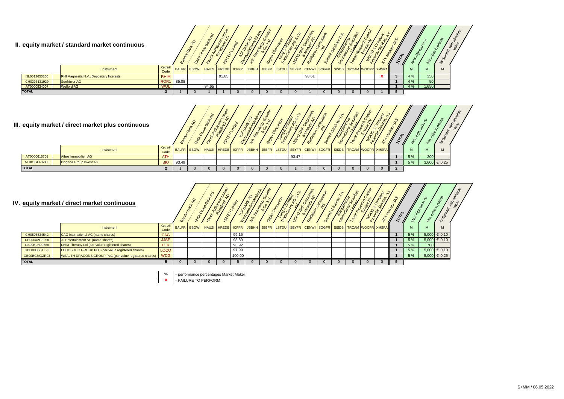#### **II.** equity market / standard market continuous

|              | equity market / standard market continuous |                  |       |                              | $\mathcal{Q}$ | $\mu$ |                                                            |  |       |  |  |  |     |       | SSE | ิ∗ั |
|--------------|--------------------------------------------|------------------|-------|------------------------------|---------------|-------|------------------------------------------------------------|--|-------|--|--|--|-----|-------|-----|-----|
|              | Instrument                                 | Xetra®<br>Code   |       | BALFR EBOWI HAUZI HREDB CFFR |               |       | JBBHH JBBFR LSTDU SEYFR CENWISOGFR SISDB TRCAM WOOPR XMSPA |  |       |  |  |  | M   |       | M   |     |
| NL0012650360 | RHI Magnesita N.V., Depositary Interests   | <b>RHIM</b>      |       |                              |               | 91.65 |                                                            |  | 98.61 |  |  |  | 4%  | 350   |     |     |
| CH0396131929 | SunMirror AG                               | ROR <sub>1</sub> | 85.08 |                              |               |       |                                                            |  |       |  |  |  | 4 % | 50    |     |     |
| AT0000834007 | <b>Wolford AG</b>                          | <b>WOL</b>       |       |                              | 94.65         |       |                                                            |  |       |  |  |  | 4 % | 1,650 |     |     |
| <b>TOTAL</b> |                                            |                  |       |                              |               |       |                                                            |  |       |  |  |  |     |       |     |     |





| equity market / direct market continuous |                                                        |                |              | O | $\mathcal{S}_{\mathcal{F}}$ |        |                                                                                                           |  |  |  |  |  |     | <b>Min</b> | o,<br>≪          | 老婆 |
|------------------------------------------|--------------------------------------------------------|----------------|--------------|---|-----------------------------|--------|-----------------------------------------------------------------------------------------------------------|--|--|--|--|--|-----|------------|------------------|----|
|                                          | Instrument                                             | Xetra®<br>Code | <b>BALFR</b> |   |                             |        | EBOWI HAUZI HREDB   ICFFR   JBBHH   JBBFR   LSTDU   SEYFR   CENWI   SOGFR   SISDB   TRCAM   WOCPR   XMSPA |  |  |  |  |  | M   |            | M                |    |
| CH0505534542                             | CAG International AG (name shares)                     | <b>CAG</b>     |              |   |                             | 99.16  |                                                                                                           |  |  |  |  |  | 5 % |            | $5,000 \in 0.10$ |    |
| DE000A2G8258                             | JJ Entertainment SE (name shares)                      | <b>JJSE</b>    |              |   |                             | 98.89  |                                                                                                           |  |  |  |  |  | 5 % |            | $5,000 \in 0.10$ |    |
| GB00BLH09688                             | Lekta Therapy Ltd (par-value registered shares)        | <b>LEK</b>     |              |   |                             | 93.92  |                                                                                                           |  |  |  |  |  | 5 % | 700        |                  |    |
| GB00BD5BTL23                             | LOCOSOCO GROUP PLC (par-value registered shares)       | <b>LOCO</b>    |              |   |                             | 97.99  |                                                                                                           |  |  |  |  |  | 5 % |            | $5,000 \in 0.10$ |    |
| GB00BGMGZR93                             | WEALTH DRAGONS GROUP PLC (par-value registered shares) | <b>WDG</b>     |              |   |                             | 100.00 |                                                                                                           |  |  |  |  |  | 5 % |            | $5,000 \in 0.25$ |    |
| <b>TOTAL</b>                             |                                                        |                |              |   |                             |        |                                                                                                           |  |  |  |  |  |     |            |                  |    |

% = performance percentages Market Maker

**X** = FAILURE TO PERFORM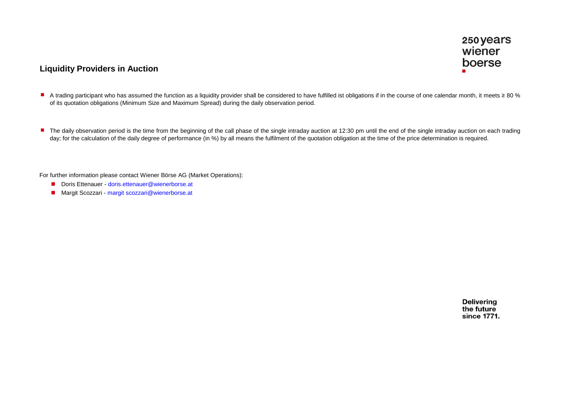# **Liquidity Providers in Auction**

- A trading participant who has assumed the function as a liquidity provider shall be considered to have fulfilled ist obligations if in the course of one calendar month, it meets ≥ 80 % of its quotation obligations (Minimum Size and Maximum Spread) during the daily observation period.
- The daily observation period is the time from the beginning of the call phase of the single intraday auction at 12:30 pm until the end of the single intraday auction on each trading day; for the calculation of the daily degree of performance (in %) by all means the fulfilment of the quotation obligation at the time of the price determination is required.

For further information please contact Wiener Börse AG (Market Operations):

- Doris Ettenauer doris.ettenauer@wienerborse.at
- Margit Scozzari margit scozzari@wienerborse.at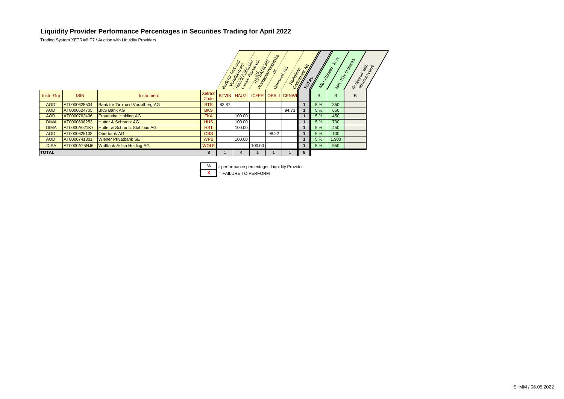### **Liquidity Provider Performance Percentages in Securities Trading for April 2022**

Trading System XETRA® T7 / Auction with Liquidity Providers

|              |              |                                  |                       | <b>Bank für</b> | ank lir Travel<br><b>TRING AMERICAN</b> | Lampe Primering<br>TOTALS ARTISTS | No Roadon Roadon<br>Oesteam Ado | <b>CALLES AND RESERVE</b> |   | Max Soread<br><b>PAY AND</b> | $\sqrt{6}$ | Mr. Sc. Malega<br><b>Fr.Spread</b><br>absorting With |  |
|--------------|--------------|----------------------------------|-----------------------|-----------------|-----------------------------------------|-----------------------------------|---------------------------------|---------------------------|---|------------------------------|------------|------------------------------------------------------|--|
| Instr.-Grp   | <b>ISIN</b>  | Instrument                       | <b>Xetra®</b><br>Code |                 |                                         | BTVIN HAUZI ICFFR                 |                                 | <b>OBBLI CENWI</b>        |   | B                            | B          | B                                                    |  |
| <b>AOD</b>   | AT0000625504 | Bank für Tirol und Vorarlberg AG | <b>BTS</b>            | 83.87           |                                         |                                   |                                 |                           |   | 5 %                          | 350        |                                                      |  |
| <b>AOD</b>   | AT0000624705 | <b>BKS Bank AG</b>               | <b>BKS</b>            |                 |                                         |                                   |                                 | 94.73                     |   | 5 %                          | 650        |                                                      |  |
| <b>AOD</b>   | AT0000762406 | <b>Frauenthal Holding AG</b>     | <b>FKA</b>            |                 | 100.00                                  |                                   |                                 |                           |   | 5 %                          | 450        |                                                      |  |
| <b>DIMA</b>  | AT0000698253 | <b>Hutter &amp; Schrantz AG</b>  | <b>HUS</b>            |                 | 100.00                                  |                                   |                                 |                           |   | 5 %                          | 700        |                                                      |  |
| <b>DIMA</b>  | AT0000A021K7 | Hutter & Schrantz Stahlbau AG    | <b>HST</b>            |                 | 100.00                                  |                                   |                                 |                           |   | 5 %                          | 450        |                                                      |  |
| <b>AOD</b>   | AT0000625108 | Oberbank AG                      | <b>OBS</b>            |                 |                                         |                                   | 98.22                           |                           |   | 5 %                          | 100        |                                                      |  |
| <b>AOD</b>   | AT0000741301 | <b>Wiener Privatbank SE</b>      | <b>WPB</b>            |                 | 100.00                                  |                                   |                                 |                           |   | 5 %                          | 1,900      |                                                      |  |
| <b>DIPA</b>  | AT0000A25NJ6 | <b>Wolftank-Adisa Holding AG</b> | <b>WOLF</b>           |                 |                                         | 100.00                            |                                 |                           |   | 5 %                          | 550        |                                                      |  |
| <b>TOTAL</b> |              |                                  | 8                     |                 | 4                                       |                                   |                                 |                           | 8 |                              |            |                                                      |  |

 $\frac{\%}{\text{X}}$  = performance percentages Liquidity Provider<br>  $\frac{\text{X}}{\text{X}}$  = FAILURE TO PERFORM **E** FAILURE TO PERFORM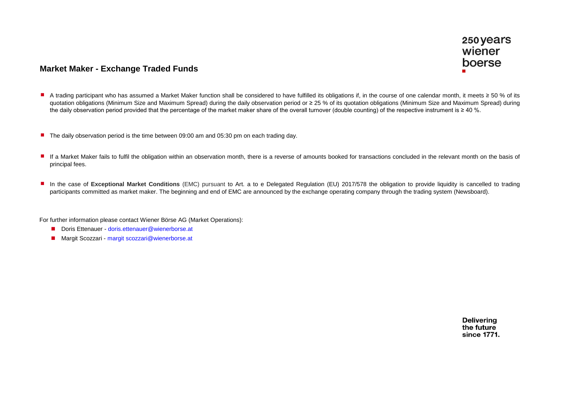# **Market Maker - Exchange Traded Funds**

- A trading participant who has assumed a Market Maker function shall be considered to have fulfilled its obligations if, in the course of one calendar month, it meets ≥ 50 % of its quotation obligations (Minimum Size and Maximum Spread) during the daily observation period or ≥ 25 % of its quotation obligations (Minimum Size and Maximum Spread) during the daily observation period provided that the percentage of the market maker share of the overall turnover (double counting) of the respective instrument is  $\geq 40$  %.
- The daily observation period is the time between 09:00 am and 05:30 pm on each trading day.
- If a Market Maker fails to fulfil the obligation within an observation month, there is a reverse of amounts booked for transactions concluded in the relevant month on the basis of principal fees.
- In the case of Exceptional Market Conditions (EMC) pursuant to Art. a to e Delegated Regulation (EU) 2017/578 the obligation to provide liquidity is cancelled to trading participants committed as market maker. The beginning and end of EMC are announced by the exchange operating company through the trading system (Newsboard).

For further information please contact Wiener Börse AG (Market Operations):

- Doris Ettenauer doris.ettenauer@wienerborse.at
- Margit Scozzari margit scozzari@wienerborse.at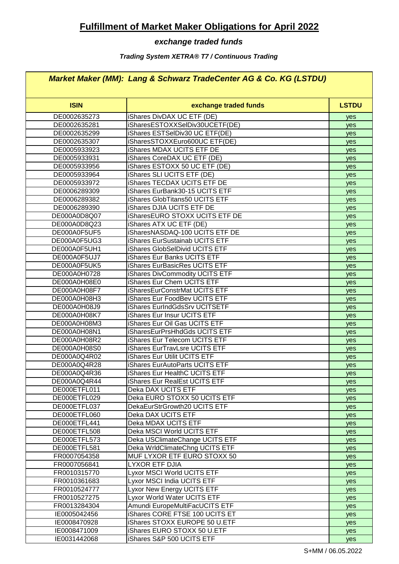# **Fulfillment of Market Maker Obligations for April 2022**

# *exchange traded funds*

## *Trading System XETRA® T7 / Continuous Trading*

# *Market Maker (MM): Lang & Schwarz TradeCenter AG & Co. KG (LSTDU)*

| <b>ISIN</b>  | exchange traded funds              | <b>LSTDU</b> |
|--------------|------------------------------------|--------------|
| DE0002635273 | iShares DivDAX UC ETF (DE)         | yes          |
| DE0002635281 | iSharesESTOXXSelDiv30UCETF(DE)     | yes          |
| DE0002635299 | iShares ESTSelDiv30 UC ETF(DE)     | yes          |
| DE0002635307 | iSharesSTOXXEuro600UC ETF(DE)      | yes          |
| DE0005933923 | iShares MDAX UCITS ETF DE          | yes          |
| DE0005933931 | iShares CoreDAX UC ETF (DE)        | yes          |
| DE0005933956 | iShares ESTOXX 50 UC ETF (DE)      | yes          |
| DE0005933964 | iShares SLI UCITS ETF (DE)         | yes          |
| DE0005933972 | <b>iShares TECDAX UCITS ETF DE</b> | yes          |
| DE0006289309 | iShares EurBank30-15 UCITS ETF     | yes          |
| DE0006289382 | iShares GlobTitans50 UCITS ETF     | yes          |
| DE0006289390 | iShares DJIA UCITS ETF DE          | yes          |
| DE000A0D8Q07 | iSharesEURO STOXX UCITS ETF DE     | yes          |
| DE000A0D8Q23 | iShares ATX UC ETF (DE)            | yes          |
| DE000A0F5UF5 | iSharesNASDAQ-100 UCITS ETF DE     | yes          |
| DE000A0F5UG3 | iShares EurSustainab UCITS ETF     | yes          |
| DE000A0F5UH1 | iShares GlobSelDivid UCITS ETF     | yes          |
| DE000A0F5UJ7 | iShares Eur Banks UCITS ETF        | yes          |
| DE000A0F5UK5 | iShares EurBasicRes UCITS ETF      | yes          |
| DE000A0H0728 | iShares DivCommodity UCITS ETF     | yes          |
| DE000A0H08E0 | iShares Eur Chem UCITS ETF         | yes          |
| DE000A0H08F7 | iSharesEurConstrMat UCITS ETF      | yes          |
| DE000A0H08H3 | iShares Eur FoodBev UCITS ETF      | yes          |
| DE000A0H08J9 | iShares EurIndGdsSrv UCITSETF      | yes          |
| DE000A0H08K7 | iShares Eur Insur UCITS ETF        | yes          |
| DE000A0H08M3 | iShares Eur Oil Gas UCITS ETF      | yes          |
| DE000A0H08N1 | iSharesEurPrsHhdGds UCITS ETF      | yes          |
| DE000A0H08R2 | iShares Eur Telecom UCITS ETF      | yes          |
| DE000A0H08S0 | iShares EurTravLsre UCITS ETF      | yes          |
| DE000A0Q4R02 | iShares Eur Utilit UCITS ETF       | yes          |
| DE000A0Q4R28 | iShares EurAutoParts UCITS ETF     | yes          |
| DE000A0Q4R36 | iShares Eur HealthC UCITS ETF      | yes          |
| DE000A0Q4R44 | iShares Eur RealEst UCITS ETF      | yes          |
| DE000ETFL011 | Deka DAX UCITS ETF                 | yes          |
| DE000ETFL029 | Deka EURO STOXX 50 UCITS ETF       | yes          |
| DE000ETFL037 | DekaEurStrGrowth20 UCITS ETF       | yes          |
| DE000ETFL060 | <b>Deka DAX UCITS ETF</b>          | yes          |
| DE000ETFL441 | Deka MDAX UCITS ETF                | yes          |
| DE000ETFL508 | Deka MSCI World UCITS ETF          | yes          |
| DE000ETFL573 | Deka USClimateChange UCITS ETF     | yes          |
| DE000ETFL581 | Deka WrldClimateChng UCITS ETF     | yes          |
| FR0007054358 | MUF LYXOR ETF EURO STOXX 50        | yes          |
| FR0007056841 | LYXOR ETF DJIA                     | yes          |
| FR0010315770 | Lyxor MSCI World UCITS ETF         | yes          |
| FR0010361683 | Lyxor MSCI India UCITS ETF         | yes          |
| FR0010524777 | Lyxor New Energy UCITS ETF         | yes          |
| FR0010527275 | Lyxor World Water UCITS ETF        | yes          |
| FR0013284304 | Amundi EuropeMultiFacUCITS ETF     | yes          |
| IE0005042456 | iShares CORE FTSE 100 UCITS ET     | yes          |
| IE0008470928 | iShares STOXX EUROPE 50 U.ETF      | yes          |
| IE0008471009 | iShares EURO STOXX 50 U.ETF        | yes          |
| IE0031442068 | iShares S&P 500 UCITS ETF          | yes          |
|              |                                    |              |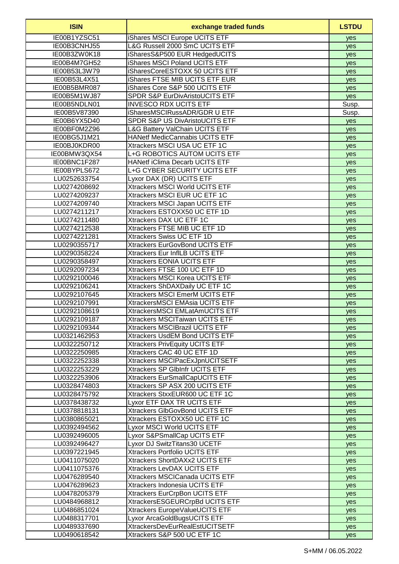| <b>ISIN</b>  | exchange traded funds                     | <b>LSTDU</b> |
|--------------|-------------------------------------------|--------------|
| IE00B1YZSC51 | iShares MSCI Europe UCITS ETF             | yes          |
| IE00B3CNHJ55 | L&G Russell 2000 SmC UCITS ETF            | yes          |
| IE00B3ZW0K18 | iSharesS&P500 EUR HedgedUCITS             | yes          |
| IE00B4M7GH52 | iShares MSCI Poland UCITS ETF             | yes          |
| IE00B53L3W79 | iSharesCoreESTOXX 50 UCITS ETF            | yes          |
| IE00B53L4X51 | iShares FTSE MIB UCITS ETF EUR            | yes          |
| IE00B5BMR087 | iShares Core S&P 500 UCITS ETF            | yes          |
| IE00B5M1WJ87 | SPDR S&P EurDivAristoUCITS ETF            | yes          |
| IE00B5NDLN01 | <b>INVESCO RDX UCITS ETF</b>              | Susp.        |
| IE00B5V87390 | iSharesMSCIRussADR/GDR U ETF              | Susp.        |
| IE00B6YX5D40 | SPDR S&P US DivAristoUCITS ETF            | yes          |
| IE00BF0M2Z96 | <b>L&amp;G Battery ValChain UCITS ETF</b> | yes          |
| IE00BG5J1M21 | <b>HANetf MedicCannabis UCITS ETF</b>     | yes          |
| IE00BJ0KDR00 | Xtrackers MSCI USA UC ETF 1C              | yes          |
| IE00BMW3QX54 | L+G ROBOTICS AUTOM UCITS ETF              | yes          |
| IE00BNC1F287 | <b>HANetf iClima Decarb UCITS ETF</b>     | yes          |
| IE00BYPLS672 | L+G CYBER SECURITY UCITS ETF              | yes          |
| LU0252633754 | Lyxor DAX (DR) UCITS ETF                  | yes          |
| LU0274208692 | <b>Xtrackers MSCI World UCITS ETF</b>     | yes          |
| LU0274209237 | Xtrackers MSCI EUR UC ETF 1C              | yes          |
| LU0274209740 | Xtrackers MSCI Japan UCITS ETF            | yes          |
| LU0274211217 | Xtrackers ESTOXX50 UC ETF 1D              | yes          |
| LU0274211480 | Xtrackers DAX UC ETF 1C                   | yes          |
| LU0274212538 | Xtrackers FTSE MIB UC ETF 1D              | yes          |
| LU0274221281 | Xtrackers Swiss UC ETF 1D                 | yes          |
| LU0290355717 | Xtrackers EurGovBond UCITS ETF            | yes          |
| LU0290358224 | Xtrackers Eur InfILB UCITS ETF            | yes          |
| LU0290358497 | Xtrackers EONIA UCITS ETF                 | yes          |
| LU0292097234 | Xtrackers FTSE 100 UC ETF 1D              | yes          |
| LU0292100046 | Xtrackers MSCI Korea UCITS ETF            | yes          |
| LU0292106241 | Xtrackers ShDAXDaily UC ETF 1C            | yes          |
| LU0292107645 | Xtrackers MSCI EmerM UCITS ETF            | yes          |
| LU0292107991 | XtrackersMSCI EMAsia UCITS ETF            | yes          |
| LU0292108619 | XtrackersMSCI EMLatAmUCITS ETF            | yes          |
| LU0292109187 | Xtrackers MSCITaiwan UCITS ETF            | yes          |
| LU0292109344 | Xtrackers MSCIBrazil UCITS ETF            | yes          |
| LU0321462953 | Xtrackers UsdEM Bond UCITS ETF            | yes          |
| LU0322250712 | <b>Xtrackers PrivEquity UCITS ETF</b>     | yes          |
| LU0322250985 | Xtrackers CAC 40 UC ETF 1D                | yes          |
| LU0322252338 | Xtrackers MSCIPacExJpnUCITSETF            | yes          |
| LU0322253229 | Xtrackers SP GlbInfr UCITS ETF            | yes          |
| LU0322253906 | Xtrackers EurSmallCapUCITS ETF            | yes          |
| LU0328474803 | Xtrackers SP ASX 200 UCITS ETF            | yes          |
| LU0328475792 | Xtrackers StxxEUR600 UC ETF 1C            | yes          |
| LU0378438732 | Lyxor ETF DAX TR UCITS ETF                | yes          |
| LU0378818131 | Xtrackers GlbGovBond UCITS ETF            | yes          |
| LU0380865021 | Xtrackers ESTOXX50 UC ETF 1C              | yes          |
| LU0392494562 | Lyxor MSCI World UCITS ETF                | yes          |
| LU0392496005 | Lyxor S&PSmallCap UCITS ETF               | yes          |
| LU0392496427 | Lyxor DJ SwitzTitans30 UCETF              | yes          |
| LU0397221945 | <b>Xtrackers Portfolio UCITS ETF</b>      | yes          |
| LU0411075020 | Xtrackers ShortDAXx2 UCITS ETF            | yes          |
| LU0411075376 | Xtrackers LevDAX UCITS ETF                | yes          |
| LU0476289540 | Xtrackers MSCICanada UCITS ETF            | yes          |
| LU0476289623 | Xtrackers Indonesia UCITS ETF             | yes          |
| LU0478205379 | Xtrackers EurCrpBon UCITS ETF             | yes          |
| LU0484968812 | XtrackersESGEURCrpBd UCITS ETF            | yes          |
| LU0486851024 | Xtrackers EuropeValueUCITS ETF            | yes          |
| LU0488317701 | Lyxor ArcaGoldBugsUCITS ETF               | yes          |
| LU0489337690 | <b>XtrackersDevEurRealEstUCITSETF</b>     | yes          |
| LU0490618542 | Xtrackers S&P 500 UC ETF 1C               | yes          |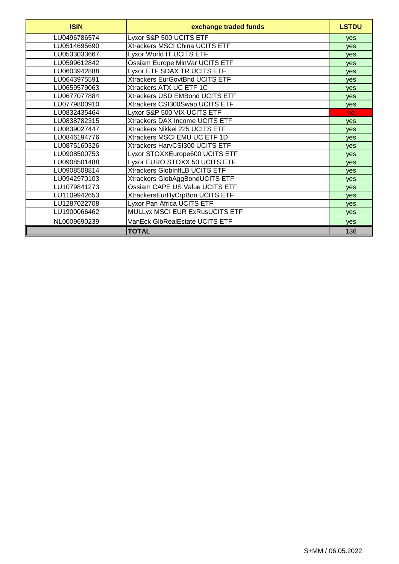| <b>ISIN</b>  | exchange traded funds                 | <b>LSTDU</b> |
|--------------|---------------------------------------|--------------|
| LU0496786574 | Lyxor S&P 500 UCITS ETF               | <b>ves</b>   |
| LU0514695690 | Xtrackers MSCI China UCITS ETF        | <b>ves</b>   |
| LU0533033667 | Lyxor World IT UCITS ETF              | yes          |
| LU0599612842 | Ossiam Europe MinVar UCITS ETF        | yes          |
| LU0603942888 | Lyxor ETF SDAX TR UCITS ETF           | <b>ves</b>   |
| LU0643975591 | Xtrackers EurGovtBnd UCITS ETF        | <b>ves</b>   |
| LU0659579063 | Xtrackers ATX UC ETF 1C               | yes          |
| LU0677077884 | Xtrackers USD EMBond UCITS ETF        | yes          |
| LU0779800910 | Xtrackers CSI300Swap UCITS ETF        | yes          |
| LU0832435464 | Lyxor S&P 500 VIX UCITS ETF           | no.          |
| LU0838782315 | Xtrackers DAX Income UCITS ETF        | <b>ves</b>   |
| LU0839027447 | Xtrackers Nikkei 225 UCITS ETF        | <b>ves</b>   |
| LU0846194776 | Xtrackers MSCI EMU UC ETF 1D          | <b>ves</b>   |
| LU0875160326 | Xtrackers HarvCSI300 UCITS ETF        | yes          |
| LU0908500753 | Lyxor STOXXEurope600 UCITS ETF        | <b>ves</b>   |
| LU0908501488 | Lyxor EURO STOXX 50 UCITS ETF         | <b>ves</b>   |
| LU0908508814 | <b>Xtrackers GlobInfILB UCITS ETF</b> | <b>ves</b>   |
| LU0942970103 | Xtrackers GlobAggBondUCITS ETF        | <b>ves</b>   |
| LU1079841273 | Ossiam CAPE US Value UCITS ETF        | yes          |
| LU1109942653 | XtrackersEurHyCrpBon UCITS ETF        | yes          |
| LU1287022708 | Lyxor Pan Africa UCITS ETF            | <b>ves</b>   |
| LU1900066462 | MULLyx MSCI EUR ExRusUCITS ETF        | <b>ves</b>   |
| NL0009690239 | VanEck GlbRealEstate UCITS ETF        | yes          |
|              | <b>TOTAL</b>                          | 136          |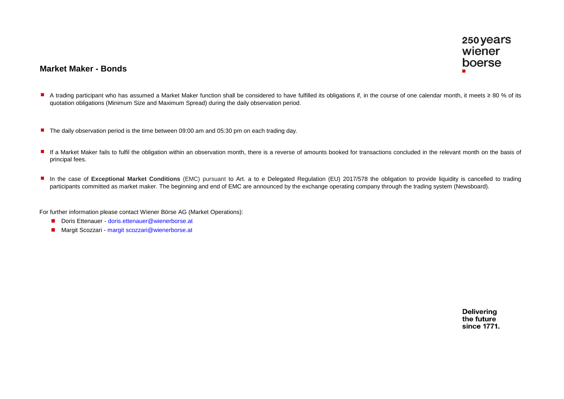## **Market Maker - Bonds**

- A trading participant who has assumed a Market Maker function shall be considered to have fulfilled its obligations if, in the course of one calendar month, it meets ≥ 80 % of its quotation obligations (Minimum Size and Maximum Spread) during the daily observation period.
- The daily observation period is the time between 09:00 am and 05:30 pm on each trading day.
- If a Market Maker fails to fulfil the obligation within an observation month, there is a reverse of amounts booked for transactions concluded in the relevant month on the basis of principal fees.
- n In the case of **Exceptional Market Conditions** (EMC) pursuant to Art. a to e Delegated Regulation (EU) 2017/578 the obligation to provide liquidity is cancelled to trading participants committed as market maker. The beginning and end of EMC are announced by the exchange operating company through the trading system (Newsboard).

For further information please contact Wiener Börse AG (Market Operations):

- Doris Ettenauer doris.ettenauer@wienerborse.at
- Margit Scozzari margit scozzari@wienerborse.at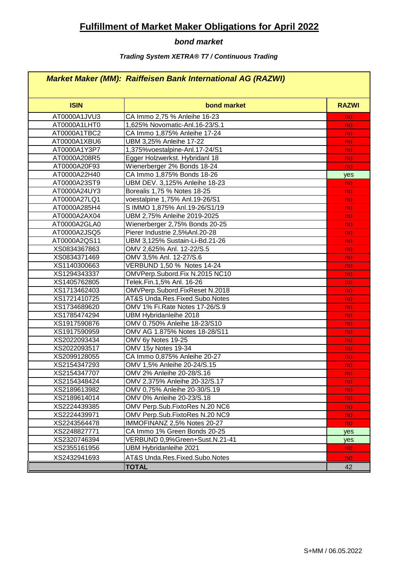# **Fulfillment of Market Maker Obligations for April 2022**

# *bond market*

## *Trading System XETRA® T7 / Continuous Trading*

# *Market Maker (MM): Raiffeisen Bank International AG (RAZWI)*

| <b>ISIN</b>  | bond market                     | <b>RAZWI</b> |
|--------------|---------------------------------|--------------|
| AT0000A1JVU3 | CA Immo 2,75 % Anleihe 16-23    | no           |
| AT0000A1LHT0 | 1,625% Novomatic-Anl.16-23/S.1  | no           |
| AT0000A1TBC2 | CA Immo 1,875% Anleihe 17-24    | no           |
| AT0000A1XBU6 | UBM 3,25% Anleihe 17-22         | no           |
| AT0000A1Y3P7 | 1,375% voestalpine-Anl.17-24/S1 | no           |
| AT0000A208R5 | Egger Holzwerkst. Hybridanl 18  | no           |
| AT0000A20F93 | Wienerberger 2% Bonds 18-24     | no           |
| AT0000A22H40 | CA Immo 1,875% Bonds 18-26      | yes          |
| AT0000A23ST9 | UBM DEV. 3,125% Anleihe 18-23   | no           |
| AT0000A24UY3 | Borealis 1,75 % Notes 18-25     | no           |
| AT0000A27LQ1 | voestalpine 1,75% Anl.19-26/S1  | no           |
| AT0000A285H4 | S IMMO 1,875% Anl.19-26/S1/19   | no           |
| AT0000A2AX04 | UBM 2,75% Anleihe 2019-2025     | no           |
| AT0000A2GLA0 | Wienerberger 2,75% Bonds 20-25  | no           |
| AT0000A2JSQ5 | Pierer Industrie 2,5%Anl.20-28  | no           |
| AT0000A2QS11 | UBM 3,125% Sustain-Li-Bd.21-26  | no           |
| XS0834367863 | OMV 2,625% Anl. 12-22/S.5       | no           |
| XS0834371469 | OMV 3,5% Anl. 12-27/S.6         | no           |
| XS1140300663 | VERBUND 1,50 % Notes 14-24      | no           |
| XS1294343337 | OMVPerp.Subord.Fix N.2015 NC10  | no           |
| XS1405762805 | Telek.Fin.1,5% Anl. 16-26       | no           |
| XS1713462403 | OMVPerp.Subord.FixReset N.2018  | no           |
| XS1721410725 | AT&S Unda.Res.Fixed.Subo.Notes  | no           |
| XS1734689620 | OMV 1% Fi.Rate Notes 17-26/S.9  | no           |
| XS1785474294 | <b>UBM Hybridanleihe 2018</b>   | no           |
| XS1917590876 | OMV 0.750% Anleihe 18-23/S10    | no           |
| XS1917590959 | OMV AG 1.875% Notes 18-28/S11   | no           |
| XS2022093434 | OMV 6y Notes 19-25              | no           |
| XS2022093517 | OMV 15y Notes 19-34             | no           |
| XS2099128055 | CA Immo 0,875% Anleihe 20-27    | no           |
| XS2154347293 | OMV 1,5% Anleihe 20-24/S.15     | no           |
| XS2154347707 | OMV 2% Anleihe 20-28/S.16       | no           |
| XS2154348424 | OMV 2,375% Anleihe 20-32/S.17   | no           |
| XS2189613982 | OMV 0,75% Anleihe 20-30/S.19    | no           |
| XS2189614014 | OMV 0% Anleihe 20-23/S.18       | no           |
| XS2224439385 | OMV Perp.Sub.FixtoRes N.20 NC6  | no           |
| XS2224439971 | OMV Perp.Sub.FixtoRes N.20 NC9  | no           |
| XS2243564478 | IMMOFINANZ 2,5% Notes 20-27     | no           |
| XS2248827771 | CA Immo 1% Green Bonds 20-25    | yes          |
| XS2320746394 | VERBUND 0,9%Green+Sust.N.21-41  | yes          |
| XS2355161956 | <b>UBM Hybridanleihe 2021</b>   | no           |
| XS2432941693 | AT&S Unda.Res.Fixed.Subo.Notes  | no           |
|              | <b>TOTAL</b>                    | 42           |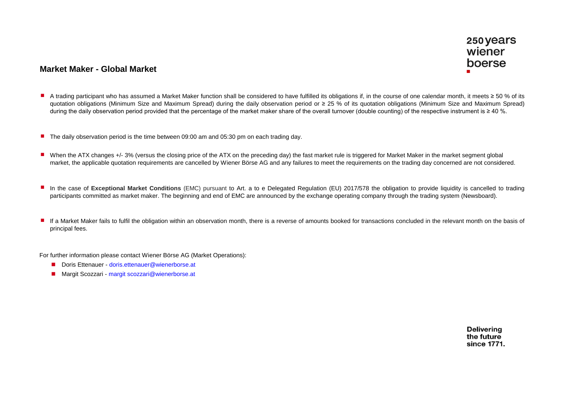# **Market Maker - Global Market**

- n A trading participant who has assumed a Market Maker function shall be considered to have fulfilled its obligations if, in the course of one calendar month, it meets  $\geq 50$  % of its quotation obligations (Minimum Size and Maximum Spread) during the daily observation period or ≥ 25 % of its quotation obligations (Minimum Size and Maximum Spread) during the daily observation period provided that the percentage of the market maker share of the overall turnover (double counting) of the respective instrument is  $\geq 40$ %.
- **The daily observation period is the time between 09:00 am and 05:30 pm on each trading day.**
- When the ATX changes +/-3% (versus the closing price of the ATX on the preceding day) the fast market rule is triggered for Market Maker in the market segment global market, the applicable quotation requirements are cancelled by Wiener Börse AG and any failures to meet the requirements on the trading day concerned are not considered.
- n In the case of **Exceptional Market Conditions** (EMC) pursuant to Art. a to e Delegated Regulation (EU) 2017/578 the obligation to provide liquidity is cancelled to trading participants committed as market maker. The beginning and end of EMC are announced by the exchange operating company through the trading system (Newsboard).
- If a Market Maker fails to fulfil the obligation within an observation month, there is a reverse of amounts booked for transactions concluded in the relevant month on the basis of principal fees.

For further information please contact Wiener Börse AG (Market Operations):

- Doris Ettenauer doris.ettenauer@wienerborse.at
- Margit Scozzari margit scozzari@wienerborse.at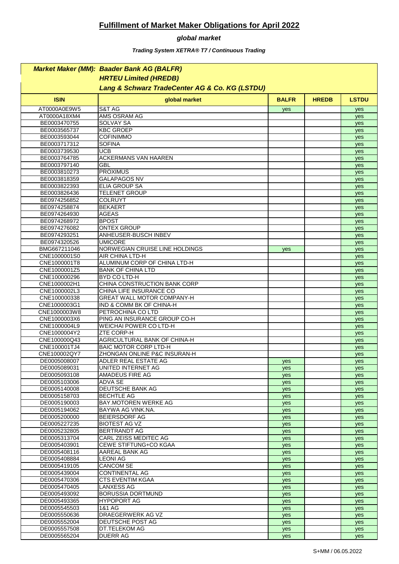# **Fulfillment of Market Maker Obligations for April 2022**

### *global market*

*Trading System XETRA® T7 / Continuous Trading*

|                              | <b>Market Maker (MM): Baader Bank AG (BALFR)</b>  |              |              |              |
|------------------------------|---------------------------------------------------|--------------|--------------|--------------|
|                              | <b>HRTEU Limited (HREDB)</b>                      |              |              |              |
|                              | Lang & Schwarz TradeCenter AG & Co. KG (LSTDU)    |              |              |              |
| <b>ISIN</b>                  | global market                                     | <b>BALFR</b> | <b>HREDB</b> | <b>LSTDU</b> |
| AT0000A0E9W5                 | S&T AG                                            | yes          |              | yes          |
| AT0000A18XM4                 | AMS OSRAM AG                                      |              |              | yes          |
| BE0003470755                 | <b>SOLVAY SA</b>                                  |              |              | yes          |
| BE0003565737                 | <b>KBC GROEP</b>                                  |              |              | yes          |
| BE0003593044                 | <b>COFINIMMO</b>                                  |              |              | yes          |
| BE0003717312                 | <b>SOFINA</b><br><b>UCB</b>                       |              |              | yes          |
| BE0003739530<br>BE0003764785 | <b>ACKERMANS VAN HAAREN</b>                       |              |              | yes          |
| BE0003797140                 | <b>GBL</b>                                        |              |              | yes<br>yes   |
| BE0003810273                 | <b>PROXIMUS</b>                                   |              |              | yes          |
| BE0003818359                 | <b>GALAPAGOS NV</b>                               |              |              | yes          |
| BE0003822393                 | <b>ELIA GROUP SA</b>                              |              |              | yes          |
| BE0003826436                 | <b>TELENET GROUP</b>                              |              |              | yes          |
| BE0974256852                 | <b>COLRUYT</b>                                    |              |              | yes          |
| BE0974258874                 | <b>BEKAERT</b>                                    |              |              | yes          |
| BE0974264930                 | <b>AGEAS</b>                                      |              |              | yes          |
| BE0974268972                 | <b>BPOST</b>                                      |              |              | yes          |
| BE0974276082<br>BE0974293251 | <b>ONTEX GROUP</b><br>ANHEUSER-BUSCH INBEV        |              |              | yes          |
| BE0974320526                 | <b>UMICORE</b>                                    |              |              | yes<br>yes   |
| BMG667211046                 | NORWEGIAN CRUISE LINE HOLDINGS                    | yes          |              | yes          |
| CNE1000001S0                 | AIR CHINA LTD-H                                   |              |              | yes          |
| CNE1000001T8                 | ALUMINUM CORP OF CHINA LTD-H                      |              |              | yes          |
| CNE1000001Z5                 | <b>BANK OF CHINA LTD</b>                          |              |              | yes          |
| CNE100000296                 | BYD CO LTD-H                                      |              |              | yes          |
| CNE1000002H1                 | CHINA CONSTRUCTION BANK CORP                      |              |              | yes          |
| CNE1000002L3                 | CHINA LIFE INSURANCE CO                           |              |              | yes          |
| CNE100000338                 | <b>GREAT WALL MOTOR COMPANY-H</b>                 |              |              | yes          |
| CNE1000003G1                 | IND & COMM BK OF CHINA-H                          |              |              | yes          |
| CNE1000003W8<br>CNE1000003X6 | PETROCHINA CO LTD<br>PING AN INSURANCE GROUP CO-H |              |              | yes<br>yes   |
| CNE1000004L9                 | <b>WEICHAI POWER CO LTD-H</b>                     |              |              | yes          |
| CNE1000004Y2                 | <b>ZTE CORP-H</b>                                 |              |              | yes          |
| CNE100000Q43                 | <b>AGRICULTURAL BANK OF CHINA-H</b>               |              |              | yes          |
| CNE100001TJ4                 | <b>BAIC MOTOR CORP LTD-H</b>                      |              |              | yes          |
| CNE100002QY7                 | ZHONGAN ONLINE P&C INSURAN-H                      |              |              | yes          |
| DE0005008007                 | ADLER REAL ESTATE AG                              | <b>ves</b>   |              | <b>ves</b>   |
| DE0005089031                 | UNITED INTERNET AG                                | yes          |              | yes          |
| DE0005093108                 | AMADEUS FIRE AG                                   | yes          |              | yes          |
| DE0005103006<br>DE0005140008 | ADVA SE<br><b>DEUTSCHE BANK AG</b>                | yes          |              | yes          |
| DE0005158703                 | <b>BECHTLE AG</b>                                 | yes<br>yes   |              | yes<br>yes   |
| DE0005190003                 | BAY MOTOREN WERKE AG                              | yes          |              | yes          |
| DE0005194062                 | BAYWA AG VINK.NA.                                 | yes          |              | yes          |
| DE0005200000                 | <b>BEIERSDORF AG</b>                              | yes          |              | yes          |
| DE0005227235                 | <b>BIOTEST AG VZ</b>                              | yes          |              | yes          |
| DE0005232805                 | <b>BERTRANDT AG</b>                               | yes          |              | yes          |
| DE0005313704                 | CARL ZEISS MEDITEC AG                             | yes          |              | yes          |
| DE0005403901                 | CEWE STIFTUNG+CO KGAA                             | yes          |              | yes          |
| DE0005408116                 | AAREAL BANK AG                                    | yes          |              | yes          |
| DE0005408884                 | LEONI AG<br><b>CANCOM SE</b>                      | yes          |              | yes          |
| DE0005419105<br>DE0005439004 | CONTINENTAL AG                                    | yes<br>yes   |              | yes<br>yes   |
| DE0005470306                 | <b>CTS EVENTIM KGAA</b>                           | yes          |              | yes          |
| DE0005470405                 | <b>LANXESS AG</b>                                 | yes          |              | yes          |
| DE0005493092                 | <b>BORUSSIA DORTMUND</b>                          | yes          |              | yes          |
| DE0005493365                 | <b>HYPOPORT AG</b>                                | yes          |              | yes          |
| DE0005545503                 | 1&1 AG                                            | yes          |              | yes          |
| DE0005550636                 | <b>DRAEGERWERK AG VZ</b>                          | yes          |              | yes          |
| DE0005552004                 | <b>DEUTSCHE POST AG</b>                           | yes          |              | yes          |
| DE0005557508<br>DE0005565204 | <b>DT.TELEKOM AG</b>                              | yes          |              | yes          |
|                              | <b>DUERR AG</b>                                   | yes          |              | yes          |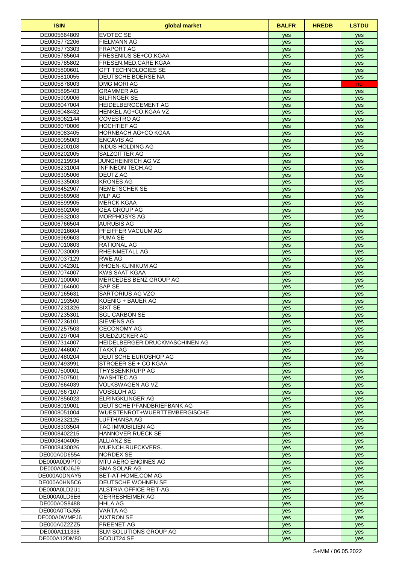| <b>ISIN</b>                  | global market                                      | <b>BALFR</b> | <b>HREDB</b> | <b>LSTDU</b> |
|------------------------------|----------------------------------------------------|--------------|--------------|--------------|
| DE0005664809                 | <b>EVOTEC SE</b>                                   | yes          |              | yes          |
| DE0005772206                 | <b>FIELMANN AG</b>                                 | yes          |              | yes          |
| DE0005773303                 | <b>FRAPORT AG</b>                                  | yes          |              | yes          |
| DE0005785604                 | <b>FRESENIUS SE+CO.KGAA</b>                        | yes          |              | yes          |
| DE0005785802<br>DE0005800601 | FRESEN.MED.CARE KGAA<br><b>GFT TECHNOLOGIES SE</b> | yes          |              | yes          |
| DE0005810055                 | <b>DEUTSCHE BOERSE NA</b>                          | yes<br>yes   |              | yes<br>yes   |
| DE0005878003                 | <b>DMG MORI AG</b>                                 | yes          |              | no           |
| DE0005895403                 | <b>GRAMMER AG</b>                                  | yes          |              | yes          |
| DE0005909006                 | <b>BILFINGER SE</b>                                | yes          |              | yes          |
| DE0006047004                 | <b>HEIDELBERGCEMENT AG</b>                         | yes          |              | yes          |
| DE0006048432                 | HENKEL AG+CO.KGAA VZ                               | yes          |              | yes          |
| DE0006062144                 | <b>COVESTRO AG</b>                                 | yes          |              | yes          |
| DE0006070006                 | <b>HOCHTIEF AG</b>                                 | yes          |              | yes          |
| DE0006083405                 | <b>HORNBACH AG+CO KGAA</b>                         | yes          |              | yes          |
| DE0006095003<br>DE0006200108 | <b>ENCAVIS AG</b><br><b>INDUS HOLDING AG</b>       | yes<br>yes   |              | yes<br>yes   |
| DE0006202005                 | SALZGITTER AG                                      | yes          |              | yes          |
| DE0006219934                 | <b>JUNGHEINRICH AG VZ</b>                          | yes          |              | yes          |
| DE0006231004                 | <b>INFINEON TECH.AG</b>                            | yes          |              | yes          |
| DE0006305006                 | <b>DEUTZ AG</b>                                    | yes          |              | yes          |
| DE0006335003                 | <b>KRONES AG</b>                                   | yes          |              | yes          |
| DE0006452907                 | <b>NEMETSCHEK SE</b>                               | yes          |              | yes          |
| DE0006569908                 | <b>MLP AG</b>                                      | yes          |              | yes          |
| DE0006599905                 | <b>MERCK KGAA</b>                                  | yes          |              | yes          |
| DE0006602006                 | <b>GEA GROUP AG</b>                                | yes          |              | yes          |
| DE0006632003<br>DE0006766504 | <b>MORPHOSYS AG</b><br><b>AURUBIS AG</b>           | yes          |              | yes          |
| DE0006916604                 | PFEIFFER VACUUM AG                                 | yes<br>yes   |              | yes<br>yes   |
| DE0006969603                 | <b>PUMA SE</b>                                     | yes          |              | yes          |
| DE0007010803                 | <b>RATIONAL AG</b>                                 | yes          |              | yes          |
| DE0007030009                 | <b>RHEINMETALL AG</b>                              | yes          |              | yes          |
| DE0007037129                 | <b>RWE AG</b>                                      | yes          |              | yes          |
| DE0007042301                 | RHOEN-KLINIKUM AG                                  | yes          |              | yes          |
| DE0007074007                 | <b>KWS SAAT KGAA</b>                               | yes          |              | yes          |
| DE0007100000                 | MERCEDES BENZ GROUP AG                             | yes          |              | yes          |
| DE0007164600                 | <b>SAP SE</b>                                      | yes          |              | yes          |
| DE0007165631<br>DE0007193500 | SARTORIUS AG VZO<br>KOENIG + BAUER AG              | yes          |              | yes          |
| DE0007231326                 | <b>SIXT SE</b>                                     | yes<br>yes   |              | yes<br>yes   |
| DE0007235301                 | <b>SGL CARBON SE</b>                               | yes          |              | yes          |
| DE0007236101                 | <b>SIEMENS AG</b>                                  | yes          |              | yes          |
| DE0007257503                 | <b>CECONOMY AG</b>                                 | yes          |              | yes          |
| DE0007297004                 | <b>SUEDZUCKER AG</b>                               | yes          |              | yes          |
| DE0007314007                 | HEIDELBERGER DRUCKMASCHINEN AG                     | yes          |              | yes          |
| DE0007446007                 | TAKKT AG                                           | yes          |              | yes          |
| DE0007480204                 | DEUTSCHE EUROSHOP AG                               | yes          |              | yes          |
| DE0007493991                 | STROEER SE + CO KGAA                               | yes          |              | yes          |
| DE0007500001<br>DE0007507501 | <b>THYSSENKRUPP AG</b><br><b>WASHTEC AG</b>        | yes          |              | yes          |
| DE0007664039                 | VOLKSWAGEN AG VZ                                   | yes          |              | yes          |
| DE0007667107                 | VOSSLOH AG                                         | yes<br>yes   |              | yes<br>yes   |
| DE0007856023                 | <b>ELRINGKLINGER AG</b>                            | yes          |              | yes          |
| DE0008019001                 | DEUTSCHE PFANDBRIEFBANK AG                         | yes          |              | yes          |
| DE0008051004                 | WUESTENROT+WUERTTEMBERGISCHE                       | yes          |              | yes          |
| DE0008232125                 | LUFTHANSA AG                                       | yes          |              | yes          |
| DE0008303504                 | <b>TAG IMMOBILIEN AG</b>                           | yes          |              | yes          |
| DE0008402215                 | <b>HANNOVER RUECK SE</b>                           | yes          |              | yes          |
| DE0008404005                 | <b>ALLIANZ SE</b>                                  | yes          |              | yes          |
| DE0008430026                 | MUENCH.RUECKVERS.                                  | yes          |              | yes          |
| DE000A0D6554<br>DE000A0D9PT0 | <b>NORDEX SE</b><br><b>MTU AERO ENGINES AG</b>     | yes          |              | yes          |
| DE000A0DJ6J9                 | <b>SMA SOLAR AG</b>                                | yes<br>yes   |              | yes<br>yes   |
| DE000A0DNAY5                 | BET-AT-HOME.COM AG                                 | yes          |              | yes          |
| DE000A0HN5C6                 | <b>DEUTSCHE WOHNEN SE</b>                          | yes          |              | yes          |
| DE000A0LD2U1                 | <b>ALSTRIA OFFICE REIT-AG</b>                      | yes          |              | yes          |
| DE000A0LD6E6                 | <b>GERRESHEIMER AG</b>                             | yes          |              | yes          |
| DE000A0S8488                 | <b>HHLA AG</b>                                     | yes          |              | yes          |
| DE000A0TGJ55                 | VARTA AG                                           | yes          |              | yes          |
| DE000A0WMPJ6                 | <b>AIXTRON SE</b>                                  | yes          |              | yes          |
| DE000A0Z2ZZ5                 | <b>FREENET AG</b>                                  | yes          |              | yes          |
| DE000A111338<br>DE000A12DM80 | <b>SLM SOLUTIONS GROUP AG</b><br>SCOUT24 SE        | yes          |              | yes          |
|                              |                                                    | yes          |              | yes          |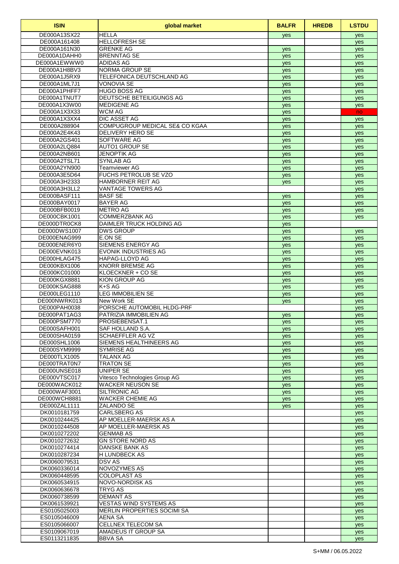| <b>ISIN</b>                  | global market                                                       | <b>BALFR</b> | <b>HREDB</b> | <b>LSTDU</b> |
|------------------------------|---------------------------------------------------------------------|--------------|--------------|--------------|
| DE000A13SX22                 | <b>HELLA</b>                                                        | yes          |              | yes          |
| DE000A161408                 | <b>HELLOFRESH SE</b>                                                |              |              | yes          |
| DE000A161N30                 | <b>GRENKE AG</b>                                                    | yes          |              | yes          |
| DE000A1DAHH0<br>DE000A1EWWW0 | <b>BRENNTAG SE</b><br><b>ADIDAS AG</b>                              | yes          |              | yes          |
| DE000A1H8BV3                 | NORMA GROUP SE                                                      | yes<br>yes   |              | yes<br>yes   |
| DE000A1J5RX9                 | TELEFONICA DEUTSCHLAND AG                                           | yes          |              | yes          |
| DE000A1ML7J1                 | <b>VONOVIA SE</b>                                                   | yes          |              | yes          |
| DE000A1PHFF7                 | <b>HUGO BOSS AG</b>                                                 | yes          |              | yes          |
| DE000A1TNUT7                 | DEUTSCHE BETEILIGUNGS AG                                            | yes          |              | yes          |
| DE000A1X3W00                 | <b>MEDIGENE AG</b>                                                  | yes          |              | yes          |
| DE000A1X3X33                 | <b>WCM AG</b>                                                       | yes          |              | no           |
| DE000A1X3XX4<br>DE000A288904 | <b>DIC ASSET AG</b><br>COMPUGROUP MEDICAL SE& CO KGAA               | yes          |              | yes          |
| DE000A2E4K43                 | <b>DELIVERY HERO SE</b>                                             | yes<br>yes   |              | yes<br>yes   |
| DE000A2GS401                 | <b>SOFTWARE AG</b>                                                  | yes          |              | yes          |
| DE000A2LQ884                 | <b>AUTO1 GROUP SE</b>                                               | yes          |              | yes          |
| DE000A2NB601                 | <b>JENOPTIK AG</b>                                                  | yes          |              | yes          |
| DE000A2TSL71                 | <b>SYNLAB AG</b>                                                    | yes          |              | yes          |
| DE000A2YN900                 | <b>Teamviewer AG</b>                                                | yes          |              | yes          |
| DE000A3E5D64                 | <b>FUCHS PETROLUB SE VZO</b>                                        | yes          |              | yes          |
| DE000A3H2333                 | <b>HAMBORNER REIT AG</b>                                            | yes          |              | yes          |
| DE000A3H3LL2<br>DE000BASF111 | <b>VANTAGE TOWERS AG</b><br><b>BASF SE</b>                          | yes          |              | yes<br>yes   |
| DE000BAY0017                 | <b>BAYER AG</b>                                                     | yes          |              | yes          |
| DE000BFB0019                 | <b>METRO AG</b>                                                     | yes          |              | yes          |
| DE000CBK1001                 | <b>COMMERZBANK AG</b>                                               | yes          |              | yes          |
| DE000DTR0CK8                 | DAIMLER TRUCK HOLDING AG                                            | yes          |              |              |
| DE000DWS1007                 | <b>DWS GROUP</b>                                                    | yes          |              | yes          |
| DE000ENAG999                 | E.ON SE                                                             | yes          |              | yes          |
| DE000ENER6Y0                 | SIEMENS ENERGY AG                                                   | yes          |              | yes          |
| DE000EVNK013<br>DE000HLAG475 | <b>EVONIK INDUSTRIES AG</b><br><b>HAPAG-LLOYD AG</b>                | yes          |              | yes          |
| DE000KBX1006                 | <b>KNORR BREMSE AG</b>                                              | yes<br>yes   |              | yes<br>yes   |
| DE000KC01000                 | KLOECKNER + CO SE                                                   | yes          |              | yes          |
| DE000KGX8881                 | <b>KION GROUP AG</b>                                                | yes          |              | yes          |
| DE000KSAG888                 | K+S AG                                                              | yes          |              | yes          |
| DE000LEG1110                 | <b>LEG IMMOBILIEN SE</b>                                            | yes          |              | yes          |
| DE000NWRK013                 | New Work SE                                                         | yes          |              | yes          |
| DE000PAH0038<br>DE000PAT1AG3 | PORSCHE AUTOMOBIL HLDG-PRF                                          |              |              | yes          |
| DE000PSM7770                 | PATRIZIA IMMOBILIEN AG<br>PROSIEBENSAT.1                            | yes          |              | yes          |
| DE000SAFH001                 | SAF HOLLAND S.A.                                                    | yes<br>yes   |              | yes<br>yes   |
| DE000SHA0159                 | <b>SCHAEFFLER AG VZ</b>                                             | yes          |              | yes          |
| DE000SHL1006                 | SIEMENS HEALTHINEERS AG                                             | yes          |              | yes          |
| DE000SYM9999                 | <b>SYMRISE AG</b>                                                   | yes          |              | yes          |
| DE000TLX1005                 | <b>TALANX AG</b>                                                    | yes          |              | yes          |
| DE000TRAT0N7                 | <b>TRATON SE</b>                                                    | yes          |              | yes          |
| DE000UNSE018<br>DE000VTSC017 | <b>UNIPER SE</b><br>Vitesco Technologies Group AG                   | yes          |              | yes          |
| DE000WACK012                 | <b>WACKER NEUSON SE</b>                                             | yes<br>yes   |              | yes          |
| DE000WAF3001                 | SILTRONIC AG                                                        | yes          |              | yes<br>yes   |
| DE000WCH8881                 | <b>WACKER CHEMIE AG</b>                                             | yes          |              | yes          |
| DE000ZAL1111                 | <b>ZALANDO SE</b>                                                   | yes          |              | yes          |
| DK0010181759                 | <b>CARLSBERG AS</b>                                                 |              |              | yes          |
| DK0010244425                 | AP MOELLER-MAERSK AS A                                              |              |              | yes          |
| DK0010244508                 | AP MOELLER-MAERSK AS                                                |              |              | yes          |
| DK0010272202<br>DK0010272632 | <b>GENMAB AS</b><br><b>GN STORE NORD AS</b>                         |              |              | yes          |
| DK0010274414                 | DANSKE BANK AS                                                      |              |              | yes<br>yes   |
| DK0010287234                 | <b>H LUNDBECK AS</b>                                                |              |              | yes          |
| DK0060079531                 | <b>DSV AS</b>                                                       |              |              | yes          |
| DK0060336014                 | NOVOZYMES AS                                                        |              |              | yes          |
| DK0060448595                 | <b>COLOPLAST AS</b>                                                 |              |              | yes          |
| DK0060534915                 | <b>NOVO-NORDISK AS</b>                                              |              |              | yes          |
| DK0060636678                 | <b>TRYG AS</b>                                                      |              |              | yes          |
| DK0060738599                 | <b>DEMANT AS</b>                                                    |              |              | yes          |
| DK0061539921<br>ES0105025003 | <b>VESTAS WIND SYSTEMS AS</b><br><b>MERLIN PROPERTIES SOCIMI SA</b> |              |              | yes          |
| ES0105046009                 | <b>AENA SA</b>                                                      |              |              | yes<br>yes   |
| ES0105066007                 | CELLNEX TELECOM SA                                                  |              |              | yes          |
| ES0109067019                 | AMADEUS IT GROUP SA                                                 |              |              | yes          |
| ES0113211835                 | <b>BBVA SA</b>                                                      |              |              | yes          |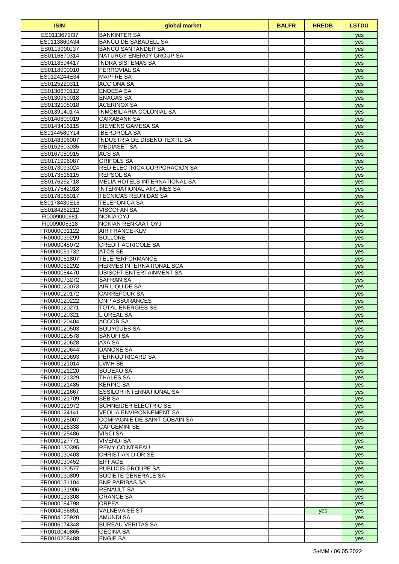| <b>ISIN</b>                  | global market                                   | <b>BALFR</b> | <b>HREDB</b> | <b>LSTDU</b> |
|------------------------------|-------------------------------------------------|--------------|--------------|--------------|
| ES0113679I37                 | <b>BANKINTER SA</b>                             |              |              | yes          |
| ES0113860A34                 | <b>BANCO DE SABADELL SA</b>                     |              |              | yes          |
| ES0113900J37                 | <b>BANCO SANTANDER SA</b>                       |              |              | yes          |
| ES0116870314                 | NATURGY ENERGY GROUP SA                         |              |              | yes          |
| ES0118594417                 | <b>INDRA SISTEMAS SA</b><br><b>FERROVIAL SA</b> |              |              | yes          |
| ES0118900010<br>ES0124244E34 | <b>MAPFRE SA</b>                                |              |              | yes          |
| ES0125220311                 | ACCIONA SA                                      |              |              | yes<br>yes   |
| ES0130670112                 | <b>ENDESA SA</b>                                |              |              | yes          |
| ES0130960018                 | <b>ENAGAS SA</b>                                |              |              | yes          |
| ES0132105018                 | ACERINOX SA                                     |              |              | yes          |
| ES0139140174                 | <b>INMOBILIARIA COLONIAL SA</b>                 |              |              | yes          |
| ES0140609019                 | <b>CAIXABANK SA</b>                             |              |              | yes          |
| ES0143416115                 | SIEMENS GAMESA SA                               |              |              | yes          |
| ES0144580Y14                 | <b>IBERDROLA SA</b>                             |              |              | yes          |
| ES0148396007                 | INDUSTRIA DE DISENO TEXTIL SA                   |              |              | yes          |
| ES0152503035<br>ES0167050915 | <b>MEDIASET SA</b><br>ACS SA                    |              |              | yes          |
| ES0171996087                 | <b>GRIFOLS SA</b>                               |              |              | yes          |
| ES0173093024                 | RED ELECTRICA CORPORACION SA                    |              |              | yes<br>yes   |
| ES0173516115                 | <b>REPSOL SA</b>                                |              |              | yes          |
| ES0176252718                 | MELIA HOTELS INTERNATIONAL SA                   |              |              | yes          |
| ES0177542018                 | <b>INTERNATIONAL AIRLINES SA</b>                |              |              | yes          |
| ES0178165017                 | <b>TECNICAS REUNIDAS SA</b>                     |              |              | yes          |
| ES0178430E18                 | <b>TELEFONICA SA</b>                            |              |              | yes          |
| ES0184262212                 | <b>VISCOFAN SA</b>                              |              |              | yes          |
| FI0009000681                 | <b>NOKIA OYJ</b>                                |              |              | yes          |
| FI0009005318                 | NOKIAN RENKAAT OYJ                              |              |              | yes          |
| FR0000031122<br>FR0000039299 | <b>AIR FRANCE-KLM</b><br><b>BOLLORE</b>         |              |              | yes          |
| FR0000045072                 | <b>CREDIT AGRICOLE SA</b>                       |              |              | yes<br>yes   |
| FR0000051732                 | ATOS SE                                         |              |              | yes          |
| FR0000051807                 | <b>TELEPERFORMANCE</b>                          |              |              | yes          |
| FR0000052292                 | HERMES INTERNATIONAL SCA                        |              |              | yes          |
| FR0000054470                 | <b>UBISOFT ENTERTAINMENT SA</b>                 |              |              | yes          |
| FR0000073272                 | <b>SAFRAN SA</b>                                |              |              | yes          |
| FR0000120073                 | <b>AIR LIQUIDE SA</b>                           |              |              | yes          |
| FR0000120172<br>FR0000120222 | <b>CARREFOUR SA</b><br><b>CNP ASSURANCES</b>    |              |              | yes          |
| FR0000120271                 | <b>TOTAL ENERGIES SE</b>                        |              |              | yes<br>yes   |
| FR0000120321                 | L OREAL SA                                      |              |              | yes          |
| FR0000120404                 | ACCOR SA                                        |              |              | yes          |
| FR0000120503                 | <b>BOUYGUES SA</b>                              |              |              | yes          |
| FR0000120578                 | <b>SANOFI SA</b>                                |              |              | yes          |
| FR0000120628                 | AXA SA                                          |              |              | yes          |
| FR0000120644                 | <b>DANONE SA</b><br><b>PERNOD RICARD SA</b>     |              |              | yes          |
| FR0000120693<br>FR0000121014 | <b>LVMH SE</b>                                  |              |              | yes          |
| FR0000121220                 | SODEXO SA                                       |              |              | yes<br>yes   |
| FR0000121329                 | <b>THALES SA</b>                                |              |              | yes          |
| FR0000121485                 | <b>KERING SA</b>                                |              |              | yes          |
| FR0000121667                 | <b>ESSILOR INTERNATIONAL SA</b>                 |              |              | yes          |
| FR0000121709                 | <b>SEB SA</b>                                   |              |              | yes          |
| FR0000121972                 | SCHNEIDER ELECTRIC SE                           |              |              | yes          |
| FR0000124141                 | <b>VEOLIA ENVIRONNEMENT SA</b>                  |              |              | yes          |
| FR0000125007                 | COMPAGNIE DE SAINT GOBAIN SA                    |              |              | yes          |
| FR0000125338                 | <b>CAPGEMINI SE</b>                             |              |              | yes          |
| FR0000125486<br>FR0000127771 | <b>VINCI SA</b><br><b>VIVENDI SA</b>            |              |              | yes<br>yes   |
| FR0000130395                 | <b>REMY COINTREAU</b>                           |              |              | yes          |
| FR0000130403                 | <b>CHRISTIAN DIOR SE</b>                        |              |              | yes          |
| FR0000130452                 | <b>EIFFAGE</b>                                  |              |              | yes          |
| FR0000130577                 | <b>PUBLICIS GROUPE SA</b>                       |              |              | yes          |
| FR0000130809                 | SOCIETE GENERALE SA                             |              |              | yes          |
| FR0000131104                 | <b>BNP PARIBAS SA</b>                           |              |              | yes          |
| FR0000131906                 | RENAULT SA                                      |              |              | yes          |
| FR0000133308<br>FR0000184798 | <b>ORANGE SA</b><br><b>ORPEA</b>                |              |              | yes          |
| FR0004056851                 | <b>VALNEVA SE ST</b>                            |              | yes          | yes<br>yes   |
| FR0004125920                 | <b>AMUNDI SA</b>                                |              |              | yes          |
| FR0006174348                 | <b>BUREAU VERITAS SA</b>                        |              |              | yes          |
| FR0010040865                 | <b>GECINA SA</b>                                |              |              | yes          |
| FR0010208488                 | <b>ENGIE SA</b>                                 |              |              | yes          |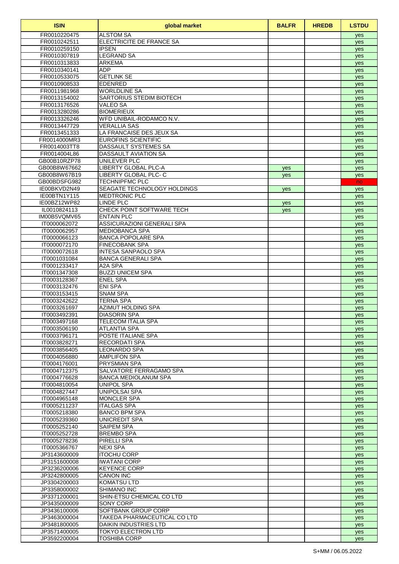| <b>ISIN</b>                  | global market                                          | <b>BALFR</b> | <b>HREDB</b> | <b>LSTDU</b> |
|------------------------------|--------------------------------------------------------|--------------|--------------|--------------|
| FR0010220475                 | <b>ALSTOM SA</b>                                       |              |              | yes          |
| FR0010242511                 | ELECTRICITE DE FRANCE SA                               |              |              | yes          |
| FR0010259150                 | <b>IPSEN</b>                                           |              |              | yes          |
| FR0010307819<br>FR0010313833 | <b>LEGRAND SA</b><br><b>ARKEMA</b>                     |              |              | yes          |
| FR0010340141                 | <b>ADP</b>                                             |              |              | yes<br>yes   |
| FR0010533075                 | <b>GETLINK SE</b>                                      |              |              | yes          |
| FR0010908533                 | <b>EDENRED</b>                                         |              |              | yes          |
| FR0011981968                 | <b>WORLDLINE SA</b>                                    |              |              | yes          |
| FR0013154002                 | SARTORIUS STEDIM BIOTECH                               |              |              | yes          |
| FR0013176526                 | <b>VALEO SA</b>                                        |              |              | yes          |
| FR0013280286                 | <b>BIOMERIEUX</b>                                      |              |              | yes          |
| FR0013326246                 | WFD UNIBAIL-RODAMCO N.V.                               |              |              | yes          |
| FR0013447729                 | <b>VERALLIA SAS</b>                                    |              |              | yes          |
| FR0013451333<br>FR0014000MR3 | LA FRANCAISE DES JEUX SA<br><b>EUROFINS SCIENTIFIC</b> |              |              | yes          |
| FR0014003TT8                 | DASSAULT SYSTEMES SA                                   |              |              | yes<br>yes   |
| FR0014004L86                 | <b>DASSAULT AVIATION SA</b>                            |              |              | yes          |
| GB00B10RZP78                 | UNILEVER PLC                                           |              |              | yes          |
| GB00B8W67662                 | LIBERTY GLOBAL PLC-A                                   | yes          |              | yes          |
| GB00B8W67B19                 | LIBERTY GLOBAL PLC-C                                   | <b>ves</b>   |              | yes          |
| GB00BDSFG982                 | <b>TECHNIPFMC PLC</b>                                  |              |              | no.          |
| IE00BKVD2N49                 | SEAGATE TECHNOLOGY HOLDINGS                            | yes          |              | yes          |
| IE00BTN1Y115                 | <b>MEDTRONIC PLC</b>                                   |              |              | yes          |
| IE00BZ12WP82                 | LINDE PLC                                              | yes          |              | yes          |
| IL0010824113                 | CHECK POINT SOFTWARE TECH                              | yes          |              | yes          |
| IM00B5VQMV65<br>IT0000062072 | <b>ENTAIN PLC</b><br>ASSICURAZIONI GENERALI SPA        |              |              | yes          |
| IT0000062957                 | <b>MEDIOBANCA SPA</b>                                  |              |              | yes<br>yes   |
| IT0000066123                 | <b>BANCA POPOLARE SPA</b>                              |              |              | yes          |
| IT0000072170                 | <b>FINECOBANK SPA</b>                                  |              |              | yes          |
| IT0000072618                 | <b>INTESA SANPAOLO SPA</b>                             |              |              | yes          |
| IT0001031084                 | <b>BANCA GENERALI SPA</b>                              |              |              | yes          |
| IT0001233417                 | A2A SPA                                                |              |              | yes          |
| IT0001347308                 | <b>BUZZI UNICEM SPA</b>                                |              |              | yes          |
| IT0003128367                 | <b>ENEL SPA</b>                                        |              |              | yes          |
| IT0003132476                 | <b>ENI SPA</b>                                         |              |              | yes          |
| IT0003153415<br>IT0003242622 | <b>SNAM SPA</b><br><b>TERNA SPA</b>                    |              |              | yes          |
| IT0003261697                 | AZIMUT HOLDING SPA                                     |              |              | yes<br>yes   |
| IT0003492391                 | DIASORIN SPA                                           |              |              | yes          |
| IT0003497168                 | TELECOM ITALIA SPA                                     |              |              | yes          |
| IT0003506190                 | <b>ATLANTIA SPA</b>                                    |              |              | yes          |
| IT0003796171                 | POSTE ITALIANE SPA                                     |              |              | yes          |
| IT0003828271                 | <b>RECORDATI SPA</b>                                   |              |              | yes          |
| IT0003856405                 | <b>LEONARDO SPA</b>                                    |              |              | yes          |
| IT0004056880                 | <b>AMPLIFON SPA</b>                                    |              |              | yes          |
| IT0004176001                 | <b>PRYSMIAN SPA</b>                                    |              |              | yes          |
| IT0004712375                 | SALVATORE FERRAGAMO SPA                                |              |              | yes          |
| IT0004776628<br>IT0004810054 | BANCA MEDIOLANUM SPA<br><b>UNIPOL SPA</b>              |              |              | yes          |
| IT0004827447                 | <b>UNIPOLSAI SPA</b>                                   |              |              | yes<br>yes   |
| IT0004965148                 | <b>MONCLER SPA</b>                                     |              |              | yes          |
| IT0005211237                 | <b>ITALGAS SPA</b>                                     |              |              | yes          |
| IT0005218380                 | <b>BANCO BPM SPA</b>                                   |              |              | yes          |
| IT0005239360                 | <b>UNICREDIT SPA</b>                                   |              |              | yes          |
| IT0005252140                 | SAIPEM SPA                                             |              |              | yes          |
| IT0005252728                 | <b>BREMBO SPA</b>                                      |              |              | yes          |
| IT0005278236                 | <b>PIRELLI SPA</b>                                     |              |              | yes          |
| IT0005366767                 | <b>NEXI SPA</b>                                        |              |              | yes          |
| JP3143600009                 | <b>ITOCHU CORP</b>                                     |              |              | yes          |
| JP3151600008<br>JP3236200006 | <b>IWATANI CORP</b><br><b>KEYENCE CORP</b>             |              |              | yes<br>yes   |
| JP3242800005                 | <b>CANON INC</b>                                       |              |              | yes          |
| JP3304200003                 | <b>KOMATSU LTD</b>                                     |              |              | yes          |
| JP3358000002                 | SHIMANO INC                                            |              |              | yes          |
| JP3371200001                 | SHIN-ETSU CHEMICAL CO LTD                              |              |              | yes          |
| JP3435000009                 | SONY CORP                                              |              |              | yes          |
| JP3436100006                 | SOFTBANK GROUP CORP                                    |              |              | yes          |
| JP3463000004                 | TAKEDA PHARMACEUTICAL CO LTD                           |              |              | yes          |
| JP3481800005                 | <b>DAIKIN INDUSTRIES LTD</b>                           |              |              | yes          |
| JP3571400005                 | <b>TOKYO ELECTRON LTD</b>                              |              |              | yes          |
| JP3592200004                 | <b>TOSHIBA CORP</b>                                    |              |              | yes          |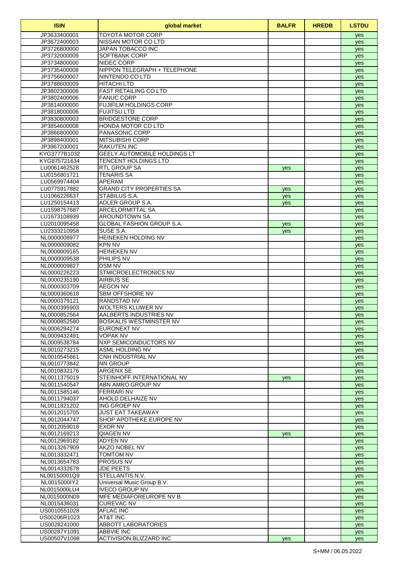| <b>ISIN</b>                  | global market                                       | <b>BALFR</b> | <b>HREDB</b> | <b>LSTDU</b> |
|------------------------------|-----------------------------------------------------|--------------|--------------|--------------|
| JP3633400001                 | <b>TOYOTA MOTOR CORP</b>                            |              |              | yes          |
| JP3672400003                 | NISSAN MOTOR CO LTD                                 |              |              | yes          |
| JP3726800000                 | JAPAN TOBACCO INC                                   |              |              | yes          |
| JP3732000009<br>JP3734800000 | <b>SOFTBANK CORP</b><br>NIDEC CORP                  |              |              | yes          |
| JP3735400008                 | NIPPON TELEGRAPH + TELEPHONE                        |              |              | yes<br>yes   |
| JP3756600007                 | NINTENDO CO LTD                                     |              |              | yes          |
| JP3788600009                 | <b>HITACHI LTD</b>                                  |              |              | yes          |
| JP3802300008                 | <b>FAST RETAILING CO LTD</b>                        |              |              | yes          |
| JP3802400006                 | <b>FANUC CORP</b>                                   |              |              | yes          |
| JP3814000000                 | <b>FUJIFILM HOLDINGS CORP</b>                       |              |              | yes          |
| JP3818000006                 | <b>FUJITSU LTD</b>                                  |              |              | yes          |
| JP3830800003                 | <b>BRIDGESTONE CORP</b>                             |              |              | yes          |
| JP3854600008                 | HONDA MOTOR CO LTD<br><b>PANASONIC CORP</b>         |              |              | yes          |
| JP3866800000<br>JP3898400001 | <b>MITSUBISHI CORP</b>                              |              |              | yes<br>yes   |
| JP3967200001                 | <b>RAKUTEN INC</b>                                  |              |              | yes          |
| KYG3777B1032                 | <b>GEELY AUTOMOBILE HOLDINGS LT</b>                 |              |              | yes          |
| KYG875721634                 | <b>TENCENT HOLDINGS LTD</b>                         |              |              | yes          |
| LU0061462528                 | <b>RTL GROUP SA</b>                                 | yes          |              | yes          |
| LU0156801721                 | <b>TENARIS SA</b>                                   |              |              | yes          |
| LU0569974404                 | <b>APERAM</b>                                       |              |              | yes          |
| LU0775917882                 | <b>GRAND CITY PROPERTIES SA</b>                     | yes          |              | yes          |
| LU1066226637<br>LU1250154413 | STABILUS S.A.<br>ADLER GROUP S.A.                   | yes          |              | yes          |
| LU1598757687                 | ARCELORMITTAL SA                                    | yes          |              | yes          |
| LU1673108939                 | AROUNDTOWN SA                                       |              |              | yes<br>yes   |
| LU2010095458                 | <b>GLOBAL FASHION GROUP S.A.</b>                    | yes          |              | yes          |
| LU2333210958                 | SUSE S.A.                                           | yes          |              | yes          |
| NL0000008977                 | <b>HEINEKEN HOLDING NV</b>                          |              |              | yes          |
| NL0000009082                 | <b>KPN NV</b>                                       |              |              | yes          |
| NL0000009165                 | <b>HEINEKEN NV</b>                                  |              |              | yes          |
| NL0000009538                 | PHILIPS NV                                          |              |              | yes          |
| NL0000009827                 | <b>DSM NV</b>                                       |              |              | yes          |
| NL0000226223<br>NL0000235190 | STMICROELECTRONICS NV<br><b>AIRBUS SE</b>           |              |              | yes          |
| NL0000303709                 | <b>AEGON NV</b>                                     |              |              | yes<br>yes   |
| NL0000360618                 | SBM OFFSHORE NV                                     |              |              | yes          |
| NL0000379121                 | <b>RANDSTAD NV</b>                                  |              |              | yes          |
| NL0000395903                 | <b>WOLTERS KLUWER NV</b>                            |              |              | yes          |
| NL0000852564                 | AALBERTS INDUSTRIES NV                              |              |              | yes          |
| NL0000852580                 | BOSKALIS WESTMINSTER NV                             |              |              | yes          |
| NL0006294274                 | EURONEXT NV                                         |              |              | yes          |
| NL0009432491<br>NL0009538784 | <b>VOPAK NV</b><br><b>NXP SEMICONDUCTORS NV</b>     |              |              | yes          |
| NL0010273215                 | <b>ASML HOLDING NV</b>                              |              |              | yes<br>yes   |
| NL0010545661                 | CNH INDUSTRIAL NV                                   |              |              | yes          |
| NL0010773842                 | <b>NN GROUP</b>                                     |              |              | yes          |
| NL0010832176                 | ARGENX SE                                           |              |              | yes          |
| NL0011375019                 | STEINHOFF INTERNATIONAL NV                          | yes          |              | yes          |
| NL0011540547                 | ABN AMRO GROUP NV                                   |              |              | yes          |
| NL0011585146                 | <b>FERRARINV</b>                                    |              |              | yes          |
| NL0011794037                 | AHOLD DELHAIZE NV<br>ING GROEP NV                   |              |              | yes          |
| NL0011821202<br>NL0012015705 | <b>JUST EAT TAKEAWAY</b>                            |              |              | yes<br>yes   |
| NL0012044747                 | SHOP APOTHEKE EUROPE NV                             |              |              | yes          |
| NL0012059018                 | EXOR NV                                             |              |              | yes          |
| NL0012169213                 | QIAGEN NV                                           | yes          |              | yes          |
| NL0012969182                 | ADYEN NV                                            |              |              | yes          |
| NL0013267909                 | AKZO NOBEL NV                                       |              |              | yes          |
| NL0013332471                 | <b>TOMTOM NV</b>                                    |              |              | yes          |
| NL0013654783                 | PROSUS NV                                           |              |              | yes          |
| NL0014332678<br>NL00150001Q9 | <b>JDE PEETS</b><br>STELLANTIS N.V.                 |              |              | yes          |
| NL0015000IY2                 | Universal Music Group B.V.                          |              |              | yes<br>yes   |
| NL0015000LU4                 | <b>IVECO GROUP NV</b>                               |              |              | yes          |
| NL0015000N09                 | <b>MFE MEDIAFOREUROPE NV B</b>                      |              |              | yes          |
| NL0015436031                 | <b>CUREVAC NV</b>                                   |              |              | yes          |
| US0010551028                 | <b>AFLAC INC</b>                                    |              |              | yes          |
| US00206R1023                 | AT&T INC                                            |              |              | yes          |
| US0028241000                 | <b>ABBOTT LABORATORIES</b>                          |              |              | yes          |
| US00287Y1091<br>US00507V1098 | <b>ABBVIE INC</b><br><b>ACTIVISION BLIZZARD INC</b> | yes          |              | yes<br>yes   |
|                              |                                                     |              |              |              |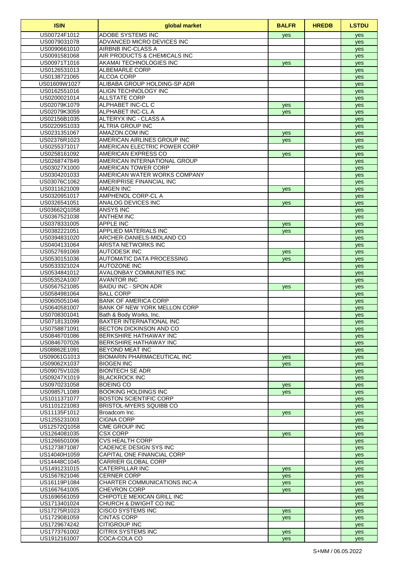| <b>ISIN</b>                  | global market                                               | <b>BALFR</b> | <b>HREDB</b> | <b>LSTDU</b> |
|------------------------------|-------------------------------------------------------------|--------------|--------------|--------------|
| US00724F1012                 | <b>ADOBE SYSTEMS INC</b>                                    | yes          |              | yes          |
| US0079031078                 | ADVANCED MICRO DEVICES INC                                  |              |              | yes          |
| US0090661010                 | AIRBNB INC-CLASS A                                          |              |              | yes          |
| US0091581068                 | AIR PRODUCTS & CHEMICALS INC                                |              |              | yes          |
| US00971T1016<br>US0126531013 | AKAMAI TECHNOLOGIES INC<br><b>ALBEMARLE CORP</b>            | yes          |              | yes          |
| US0138721065                 | <b>ALCOA CORP</b>                                           |              |              | yes<br>yes   |
| US01609W1027                 | ALIBABA GROUP HOLDING-SP ADR                                |              |              | yes          |
| US0162551016                 | ALIGN TECHNOLOGY INC                                        |              |              | yes          |
| US0200021014                 | <b>ALLSTATE CORP</b>                                        |              |              | yes          |
| US02079K1079                 | ALPHABET INC-CL C                                           | yes          |              | yes          |
| US02079K3059                 | ALPHABET INC-CLA                                            | yes          |              | yes          |
| US02156B1035                 | ALTERYX INC - CLASS A                                       |              |              | yes          |
| US02209S1033                 | ALTRIA GROUP INC                                            |              |              | yes          |
| US0231351067                 | AMAZON.COM INC                                              | yes          |              | yes          |
| US02376R1023<br>US0255371017 | AMERICAN AIRLINES GROUP INC<br>AMERICAN ELECTRIC POWER CORP | yes          |              | yes<br>yes   |
| US0258161092                 | AMERICAN EXPRESS CO                                         | yes          |              | yes          |
| US0268747849                 | AMERICAN INTERNATIONAL GROUP                                |              |              | yes          |
| US03027X1000                 | AMERICAN TOWER CORP                                         |              |              | yes          |
| US0304201033                 | AMERICAN WATER WORKS COMPANY                                |              |              | yes          |
| US03076C1062                 | AMERIPRISE FINANCIAL INC                                    |              |              | yes          |
| US0311621009                 | <b>AMGEN INC</b>                                            | yes          |              | yes          |
| US0320951017                 | AMPHENOL CORP-CL A                                          |              |              | yes          |
| US0326541051                 | ANALOG DEVICES INC                                          | yes          |              | yes          |
| US03662Q1058                 | <b>ANSYS INC</b>                                            |              |              | yes          |
| US0367521038<br>US0378331005 | <b>ANTHEM INC</b><br><b>APPLE INC</b>                       |              |              | yes          |
| US0382221051                 | <b>APPLIED MATERIALS INC</b>                                | yes          |              | yes          |
| US0394831020                 | ARCHER-DANIELS-MIDLAND CO                                   | yes          |              | yes<br>yes   |
| US0404131064                 | <b>ARISTA NETWORKS INC</b>                                  |              |              | yes          |
| US0527691069                 | <b>AUTODESK INC</b>                                         | yes          |              | yes          |
| US0530151036                 | AUTOMATIC DATA PROCESSING                                   | yes          |              | yes          |
| US0533321024                 | <b>AUTOZONE INC</b>                                         |              |              | yes          |
| US0534841012                 | <b>AVALONBAY COMMUNITIES INC</b>                            |              |              | yes          |
| US05352A1007                 | <b>AVANTOR INC</b>                                          |              |              | yes          |
| US0567521085                 | <b>BAIDU INC - SPON ADR</b>                                 | yes          |              | yes          |
| US0584981064<br>US0605051046 | <b>BALL CORP</b><br><b>BANK OF AMERICA CORP</b>             |              |              | yes          |
| US0640581007                 | BANK OF NEW YORK MELLON CORP                                |              |              | yes<br>yes   |
| US0708301041                 | Bath & Body Works, Inc.                                     |              |              | yes          |
| US0718131099                 | <b>BAXTER INTERNATIONAL INC</b>                             |              |              | yes          |
| US0758871091                 | BECTON DICKINSON AND CO                                     |              |              | yes          |
| US0846701086                 | <b>BERKSHIRE HATHAWAY INC</b>                               |              |              | yes          |
| US0846707026                 | <b>BERKSHIRE HATHAWAY INC</b>                               |              |              | yes          |
| US08862E1091                 | <b>BEYOND MEAT INC</b>                                      |              |              | yes          |
| US09061G1013                 | <b>BIOMARIN PHARMACEUTICAL INC</b>                          | yes          |              | yes          |
| US09062X1037                 | <b>BIOGEN INC</b>                                           | yes          |              | yes          |
| US09075V1026<br>US09247X1019 | <b>BIONTECH SE ADR</b>                                      |              |              | yes          |
| US0970231058                 | <b>BLACKROCK INC</b><br><b>BOEING CO</b>                    | yes          |              | yes<br>yes   |
| US09857L1089                 | <b>BOOKING HOLDINGS INC</b>                                 | yes          |              | yes          |
| US1011371077                 | <b>BOSTON SCIENTIFIC CORP</b>                               |              |              | yes          |
| US1101221083                 | <b>BRISTOL-MYERS SQUIBB CO</b>                              |              |              | yes          |
| US11135F1012                 | Broadcom Inc.                                               | yes          |              | yes          |
| US1255231003                 | <b>CIGNA CORP</b>                                           |              |              | yes          |
| US12572Q1058                 | <b>CME GROUP INC</b>                                        |              |              | yes          |
| US1264081035                 | <b>CSX CORP</b>                                             | yes          |              | yes          |
| US1266501006                 | <b>CVS HEALTH CORP</b>                                      |              |              | yes          |
| US1273871087<br>US14040H1059 | CADENCE DESIGN SYS INC<br>CAPITAL ONE FINANCIAL CORP        |              |              | yes          |
| US14448C1045                 | <b>CARRIER GLOBAL CORP</b>                                  |              |              | yes<br>yes   |
| US1491231015                 | CATERPILLAR INC                                             | yes          |              | yes          |
| US1567821046                 | <b>CERNER CORP</b>                                          | yes          |              | yes          |
| US16119P1084                 | CHARTER COMMUNICATIONS INC-A                                | yes          |              | yes          |
| US1667641005                 | <b>CHEVRON CORP</b>                                         | yes          |              | yes          |
| US1696561059                 | CHIPOTLE MEXICAN GRILL INC                                  |              |              | yes          |
| US1713401024                 | CHURCH & DWIGHT CO INC                                      |              |              | yes          |
| US17275R1023                 | <b>CISCO SYSTEMS INC</b>                                    | yes          |              | yes          |
| US1729081059                 | <b>CINTAS CORP</b>                                          | <b>ves</b>   |              | yes          |
| US1729674242                 | <b>CITIGROUP INC</b><br><b>CITRIX SYSTEMS INC</b>           |              |              | yes          |
| US1773761002<br>US1912161007 | COCA-COLA CO                                                | yes<br>yes   |              | yes<br>yes   |
|                              |                                                             |              |              |              |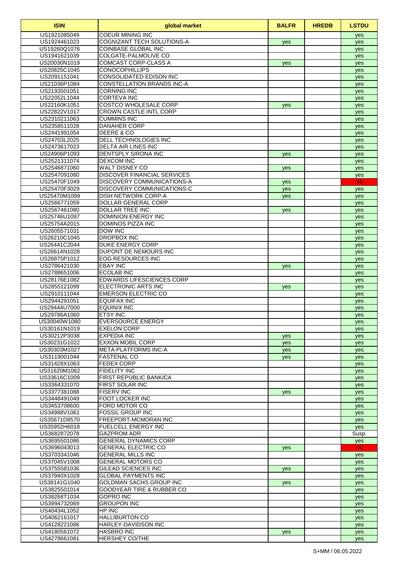| <b>ISIN</b>                  | global market                                          | <b>BALFR</b> | <b>HREDB</b> | <b>LSTDU</b> |
|------------------------------|--------------------------------------------------------|--------------|--------------|--------------|
| US1921085049                 | <b>COEUR MINING INC</b>                                |              |              | yes          |
| US1924461023                 | COGNIZANT TECH SOLUTIONS-A                             | yes          |              | yes          |
| US19260Q1076                 | COINBASE GLOBAL INC                                    |              |              | yes          |
| US1941621039                 | <b>COLGATE-PALMOLIVE CO</b>                            |              |              | yes          |
| US20030N1019<br>US20825C1045 | COMCAST CORP-CLASS A<br><b>CONOCOPHILLIPS</b>          | yes          |              | yes          |
| US2091151041                 | CONSOLIDATED EDISON INC                                |              |              | yes<br>yes   |
| US21036P1084                 | <b>CONSTELLATION BRANDS INC-A</b>                      |              |              | yes          |
| US2193501051                 | <b>CORNING INC</b>                                     |              |              | yes          |
| US22052L1044                 | <b>CORTEVA INC</b>                                     |              |              | yes          |
| US22160K1051                 | <b>COSTCO WHOLESALE CORP</b>                           | yes          |              | yes          |
| US22822V1017                 | <b>CROWN CASTLE INTL CORP</b>                          |              |              | yes          |
| US2310211063                 | <b>CUMMINS INC</b>                                     |              |              | yes          |
| US2358511028                 | <b>DANAHER CORP</b>                                    |              |              | yes          |
| US2441991054                 | DEERE & CO                                             |              |              | yes          |
| US24703L2025                 | DELL TECHNOLOGIES INC                                  |              |              | yes          |
| US2473617023<br>US24906P1093 | <b>DELTA AIR LINES INC</b>                             |              |              | yes          |
| US2521311074                 | DENTSPLY SIRONA INC<br><b>DEXCOM INC</b>               | <b>ves</b>   |              | yes          |
| US2546871060                 | WALT DISNEY CO                                         | <b>ves</b>   |              | yes<br>yes   |
| US2547091080                 | <b>DISCOVER FINANCIAL SERVICES</b>                     |              |              | yes          |
| US25470F1049                 | DISCOVERY COMMUNICATIONS-A                             | <b>ves</b>   |              | no.          |
| US25470F3029                 | DISCOVERY COMMUNICATIONS-C                             | yes          |              | yes          |
| US25470M1099                 | DISH NETWORK CORP-A                                    | yes          |              | yes          |
| US2566771059                 | DOLLAR GENERAL CORP                                    |              |              | yes          |
| US2567461080                 | DOLLAR TREE INC                                        | yes          |              | yes          |
| US25746U1097                 | <b>DOMINION ENERGY INC</b>                             |              |              | yes          |
| US25754A2015                 | <b>DOMINOS PIZZA INC</b>                               |              |              | yes          |
| US2605571031                 | <b>DOW INC</b>                                         |              |              | yes          |
| US26210C1045                 | <b>DROPBOX INC</b>                                     |              |              | yes          |
| US26441C2044                 | DUKE ENERGY CORP<br><b>DUPONT DE NEMOURS INC</b>       |              |              | yes          |
| US26614N1028<br>US26875P1012 | <b>EOG RESOURCES INC</b>                               |              |              | yes          |
| US2786421030                 | <b>EBAY INC</b>                                        | yes          |              | yes<br>yes   |
| US2788651006                 | <b>ECOLAB INC</b>                                      |              |              | yes          |
| US28176E1082                 | <b>EDWARDS LIFESCIENCES CORP</b>                       |              |              | yes          |
| US2855121099                 | <b>ELECTRONIC ARTS INC</b>                             | <b>ves</b>   |              | yes          |
| US2910111044                 | <b>EMERSON ELECTRIC CO</b>                             |              |              | yes          |
| US2944291051                 | EQUIFAX INC                                            |              |              | yes          |
| US29444U7000                 | <b>EQUINIX INC</b>                                     |              |              | yes          |
| US29786A1060                 | <b>ETSY INC</b>                                        |              |              | yes          |
| US30040W1080                 | <b>EVERSOURCE ENERGY</b>                               |              |              | yes          |
| US30161N1019                 | <b>EXELON CORP</b>                                     |              |              | yes          |
| US30212P3038<br>US30231G1022 | <b>EXPEDIA INC</b><br><b>EXXON MOBIL CORP</b>          | yes          |              | yes          |
| US30303M1027                 | <b>META PLATFORMS INC-A</b>                            | yes<br>yes   |              | yes<br>yes   |
| US3119001044                 | <b>FASTENAL CO</b>                                     | yes          |              | yes          |
| US31428X1063                 | <b>FEDEX CORP</b>                                      |              |              | yes          |
| US31620M1062                 | <b>FIDELITY INC</b>                                    |              |              | yes          |
| US33616C1009                 | <b>FIRST REPUBLIC BANK/CA</b>                          |              |              | yes          |
| US3364331070                 | <b>FIRST SOLAR INC</b>                                 |              |              | yes          |
| US3377381088                 | <b>FISERV INC</b>                                      | yes          |              | yes          |
| US3448491049                 | FOOT LOCKER INC                                        |              |              | yes          |
| US3453708600                 | FORD MOTOR CO                                          |              |              | yes          |
| US34988V1061<br>US35671D8570 | <b>FOSSIL GROUP INC</b><br><b>FREEPORT-MCMORAN INC</b> |              |              | yes          |
| US35952H6018                 | FUELCELL ENERGY INC                                    |              |              | yes          |
| US3682872078                 | <b>GAZPROM ADR</b>                                     |              |              | yes<br>Susp. |
| US3695501086                 | <b>GENERAL DYNAMICS CORP</b>                           |              |              | yes          |
| US3696043013                 | <b>GENERAL ELECTRIC CO</b>                             | yes          |              | no.          |
| US3703341046                 | <b>GENERAL MILLS INC</b>                               |              |              | yes          |
| US37045V1008                 | <b>GENERAL MOTORS CO</b>                               |              |              | yes          |
| US3755581036                 | GILEAD SCIENCES INC                                    | yes          |              | yes          |
| US37940X1028                 | <b>GLOBAL PAYMENTS INC</b>                             |              |              | yes          |
| US38141G1040                 | GOLDMAN SACHS GROUP INC                                | yes          |              | yes          |
| US3825501014                 | GOODYEAR TIRE & RUBBER CO                              |              |              | yes          |
| US38268T1034                 | <b>GOPRO INC</b>                                       |              |              | yes          |
| US3994732069                 | <b>GROUPON INC</b><br>HP INC                           |              |              | yes          |
| US40434L1052<br>US4062161017 | <b>HALLIBURTON CO</b>                                  |              |              | yes          |
| US4128221086                 | HARLEY-DAVIDSON INC                                    |              |              | yes<br>yes   |
| US4180561072                 | <b>HASBRO INC</b>                                      | yes          |              | yes          |
| US4278661081                 | <b>HERSHEY CO/THE</b>                                  |              |              | yes          |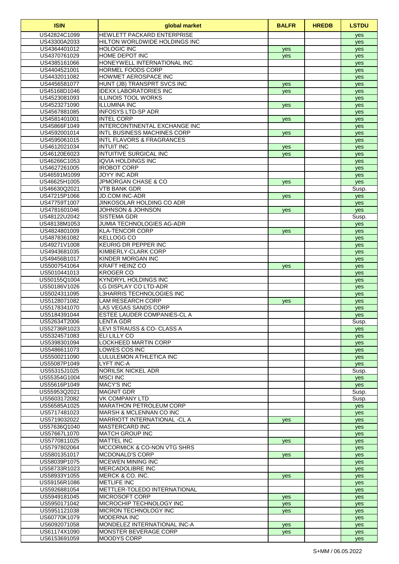| <b>ISIN</b>                  | global market                                                | <b>BALFR</b> | <b>HREDB</b> | <b>LSTDU</b> |
|------------------------------|--------------------------------------------------------------|--------------|--------------|--------------|
| US42824C1099                 | <b>HEWLETT PACKARD ENTERPRISE</b>                            |              |              | yes          |
| US43300A2033                 | HILTON WORLDWIDE HOLDINGS INC                                |              |              | yes          |
| US4364401012                 | <b>HOLOGIC INC</b>                                           | yes          |              | yes          |
| US4370761029<br>US4385161066 | HOME DEPOT INC<br>HONEYWELL INTERNATIONAL INC                | yes          |              | yes          |
| US4404521001                 | HORMEL FOODS CORP                                            |              |              | yes<br>yes   |
| US4432011082                 | HOWMET AEROSPACE INC                                         |              |              | yes          |
| US4456581077                 | HUNT (JB) TRANSPRT SVCS INC                                  | yes          |              | yes          |
| US45168D1046                 | <b>IDEXX LABORATORIES INC</b>                                | <b>ves</b>   |              | yes          |
| US4523081093                 | <b>ILLINOIS TOOL WORKS</b>                                   |              |              | yes          |
| US4523271090                 | <b>ILLUMINA INC</b>                                          | yes          |              | yes          |
| US4567881085                 | <b>INFOSYS LTD-SP ADR</b>                                    |              |              | yes          |
| US4581401001                 | <b>INTEL CORP</b>                                            | yes          |              | yes          |
| US45866F1049<br>US4592001014 | INTERCONTINENTAL EXCHANGE INC<br>INTL BUSINESS MACHINES CORP | yes          |              | yes<br>yes   |
| US4595061015                 | <b>INTL FLAVORS &amp; FRAGRANCES</b>                         |              |              | yes          |
| US4612021034                 | <b>INTUIT INC</b>                                            | yes          |              | yes          |
| US46120E6023                 | <b>INTUITIVE SURGICAL INC</b>                                | yes          |              | yes          |
| US46266C1053                 | <b>IQVIA HOLDINGS INC</b>                                    |              |              | yes          |
| US4627261005                 | <b>IROBOT CORP</b>                                           |              |              | yes          |
| US46591M1099                 | <b>JOYY INC ADR</b>                                          |              |              | yes          |
| US46625H1005                 | <b>JPMORGAN CHASE &amp; CO</b>                               | yes          |              | yes          |
| US46630Q2021                 | <b>VTB BANK GDR</b>                                          |              |              | Susp.        |
| US47215P1066<br>US47759T1007 | <b>JD.COM INC-ADR</b><br><b>JINKOSOLAR HOLDING CO ADR</b>    | <b>ves</b>   |              | yes<br>yes   |
| US4781601046                 | JOHNSON & JOHNSON                                            | yes          |              | yes          |
| US48122U2042                 | <b>SISTEMA GDR</b>                                           |              |              | Susp.        |
| US48138M1053                 | JUMIA TECHNOLOGIES AG-ADR                                    |              |              | yes          |
| US4824801009                 | <b>KLA-TENCOR CORP</b>                                       | yes          |              | yes          |
| US4878361082                 | <b>KELLOGG CO</b>                                            |              |              | yes          |
| US49271V1008                 | <b>KEURIG DR PEPPER INC</b>                                  |              |              | yes          |
| US4943681035                 | KIMBERLY-CLARK CORP                                          |              |              | yes          |
| US49456B1017                 | KINDER MORGAN INC                                            |              |              | yes          |
| US5007541064                 | <b>KRAFT HEINZ CO</b>                                        | yes          |              | yes          |
| US5010441013<br>US50155Q1004 | <b>KROGER CO</b><br><b>KYNDRYL HOLDINGS INC</b>              |              |              | yes<br>yes   |
| US50186V1026                 | LG DISPLAY CO LTD-ADR                                        |              |              | yes          |
| US5024311095                 | L3HARRIS TECHNOLOGIES INC                                    |              |              | yes          |
| US5128071082                 | <b>LAM RESEARCH CORP</b>                                     | yes          |              | yes          |
| US5178341070                 | <b>LAS VEGAS SANDS CORP</b>                                  |              |              | yes          |
| US5184391044                 | ESTEE LAUDER COMPANIES-CL A                                  |              |              | yes          |
| US52634T2006                 | <b>LENTA GDR</b>                                             |              |              | Susp.        |
| US52736R1023                 | LEVI STRAUSS & CO- CLASS A                                   |              |              | yes          |
| US5324571083<br>US5398301094 | ELI LILLY CO<br><b>LOCKHEED MARTIN CORP</b>                  |              |              | yes          |
| US5486611073                 | LOWES COS INC                                                |              |              | yes<br>yes   |
| US5500211090                 | LULULEMON ATHLETICA INC                                      |              |              | yes          |
| US55087P1049                 | <b>LYFT INC-A</b>                                            |              |              | yes          |
| US55315J1025                 | <b>NORILSK NICKEL ADR</b>                                    |              |              | Susp.        |
| US55354G1004                 | <b>MSCI INC</b>                                              |              |              | yes          |
| US55616P1049                 | <b>MACY'S INC</b>                                            |              |              | yes          |
| US55953Q2021                 | <b>MAGNIT GDR</b>                                            |              |              | Susp.        |
| US5603172082                 | <b>VK COMPANY LTD</b><br><b>MARATHON PETROLEUM CORP</b>      |              |              | Susp.        |
| US56585A1025<br>US5717481023 | MARSH & MCLENNAN CO INC                                      |              |              | yes          |
| US5719032022                 | MARRIOTT INTERNATIONAL -CL A                                 | yes          |              | yes<br>yes   |
| US57636Q1040                 | <b>MASTERCARD INC</b>                                        |              |              | yes          |
| US57667L1070                 | <b>MATCH GROUP INC</b>                                       |              |              | yes          |
| US5770811025                 | <b>MATTEL INC</b>                                            | <b>ves</b>   |              | yes          |
| US5797802064                 | <b>IMCCORMICK &amp; CO-NON VTG SHRS</b>                      |              |              | yes          |
| US5801351017                 | <b>MCDONALD'S CORP</b>                                       | yes          |              | yes          |
| US58039P1075                 | <b>MCEWEN MINING INC</b>                                     |              |              | yes          |
| US58733R1023                 | <b>MERCADOLIBRE INC</b><br>MERCK & CO. INC.                  |              |              | yes          |
| US58933Y1055<br>US59156R1086 | <b>METLIFE INC</b>                                           | yes          |              | yes<br>yes   |
| US5926881054                 | METTLER-TOLEDO INTERNATIONAL                                 |              |              | yes          |
| US5949181045                 | <b>MICROSOFT CORP</b>                                        | yes          |              | yes          |
| US5950171042                 | MICROCHIP TECHNOLOGY INC                                     | yes          |              | yes          |
| US5951121038                 | MICRON TECHNOLOGY INC                                        | yes          |              | yes          |
| US60770K1079                 | <b>MODERNA INC</b>                                           |              |              | yes          |
| US6092071058                 | MONDELEZ INTERNATIONAL INC-A                                 | yes          |              | yes          |
| US61174X1090                 | <b>MONSTER BEVERAGE CORP</b>                                 | yes          |              | yes          |
| US6153691059                 | <b>MOODYS CORP</b>                                           |              |              | yes          |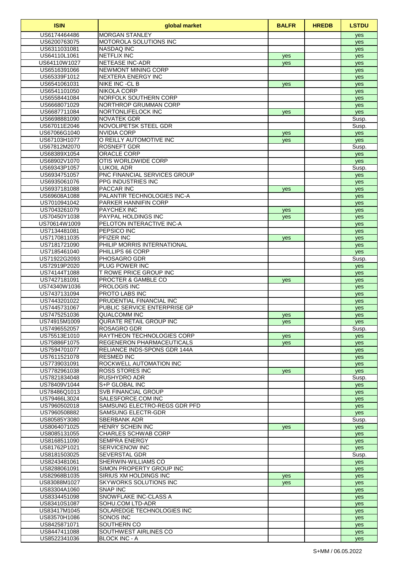| <b>ISIN</b>                  | global market                                        | <b>BALFR</b> | <b>HREDB</b> | <b>LSTDU</b> |
|------------------------------|------------------------------------------------------|--------------|--------------|--------------|
| US6174464486                 | <b>MORGAN STANLEY</b>                                |              |              | yes          |
| US6200763075                 | <b>MOTOROLA SOLUTIONS INC</b>                        |              |              | yes          |
| US6311031081                 | <b>NASDAQ INC</b>                                    |              |              | yes          |
| US64110L1061                 | <b>NETFLIX INC</b>                                   | yes          |              | yes          |
| US64110W1027                 | <b>NETEASE INC-ADR</b><br><b>NEWMONT MINING CORP</b> | yes          |              | yes          |
| US6516391066<br>US65339F1012 | <b>NEXTERA ENERGY INC</b>                            |              |              | yes          |
| US6541061031                 | <b>NIKE INC -CL B</b>                                | yes          |              | yes<br>yes   |
| US6541101050                 | <b>NIKOLA CORP</b>                                   |              |              | yes          |
| US6558441084                 | NORFOLK SOUTHERN CORP                                |              |              | yes          |
| US6668071029                 | NORTHROP GRUMMAN CORP                                |              |              | yes          |
| US6687711084                 | NORTONLIFELOCK INC                                   | yes          |              | yes          |
| US6698881090                 | <b>NOVATEK GDR</b>                                   |              |              | Susp.        |
| US67011E2046                 | NOVOLIPETSK STEEL GDR                                |              |              | Susp.        |
| US67066G1040                 | <b>NVIDIA CORP</b>                                   | yes          |              | yes          |
| US67103H1077                 | O REILLY AUTOMOTIVE INC                              | yes          |              | yes          |
| US67812M2070                 | <b>ROSNEFT GDR</b>                                   |              |              | Susp.        |
| US68389X1054                 | ORACLE CORP                                          |              |              | yes          |
| US68902V1070<br>US69343P1057 | OTIS WORLDWIDE CORP<br><b>LUKOIL ADR</b>             |              |              | yes          |
| US6934751057                 | PNC FINANCIAL SERVICES GROUP                         |              |              | Susp.<br>yes |
| US6935061076                 | PPG INDUSTRIES INC                                   |              |              | yes          |
| US6937181088                 | PACCAR INC                                           | yes          |              | yes          |
| US69608A1088                 | <b>PALANTIR TECHNOLOGIES INC-A</b>                   |              |              | yes          |
| US7010941042                 | <b>PARKER HANNIFIN CORP</b>                          |              |              | yes          |
| US7043261079                 | <b>PAYCHEX INC</b>                                   | yes          |              | yes          |
| US70450Y1038                 | PAYPAL HOLDINGS INC                                  | yes          |              | yes          |
| US70614W1009                 | PELOTON INTERACTIVE INC-A                            |              |              | yes          |
| US7134481081                 | <b>PEPSICO INC</b>                                   |              |              | yes          |
| US7170811035                 | PFIZER INC                                           | yes          |              | yes          |
| US7181721090                 | PHILIP MORRIS INTERNATIONAL                          |              |              | yes          |
| US7185461040                 | PHILLIPS 66 CORP                                     |              |              | yes          |
| US71922G2093<br>US72919P2020 | <b>PHOSAGRO GDR</b><br>PLUG POWER INC                |              |              | Susp.        |
| US74144T1088                 | T ROWE PRICE GROUP INC                               |              |              | yes          |
| US7427181091                 | <b>PROCTER &amp; GAMBLE CO</b>                       | yes          |              | yes<br>yes   |
| US74340W1036                 | <b>PROLOGIS INC</b>                                  |              |              | yes          |
| US7437131094                 | PROTO LABS INC                                       |              |              | yes          |
| US7443201022                 | PRUDENTIAL FINANCIAL INC                             |              |              | yes          |
| US7445731067                 | PUBLIC SERVICE ENTERPRISE GP                         |              |              | yes          |
| US7475251036                 | QUALCOMM INC                                         | yes          |              | yes          |
| US74915M1009                 | QURATE RETAIL GROUP INC                              | yes          |              | yes          |
| US7496552057                 | ROSAGRO GDR                                          |              |              | Susp.        |
| US75513E1010                 | RAYTHEON TECHNOLOGIES CORP                           | yes          |              | yes          |
| US75886F1075                 | <b>REGENERON PHARMACEUTICALS</b>                     | yes          |              | yes          |
| US7594701077<br>US7611521078 | RELIANCE INDS-SPONS GDR 144A<br><b>RESMED INC</b>    |              |              | yes          |
| US7739031091                 | ROCKWELL AUTOMATION INC                              |              |              | yes<br>yes   |
| US7782961038                 | <b>ROSS STORES INC</b>                               | yes          |              | yes          |
| US7821834048                 | RUSHYDRO ADR                                         |              |              | Susp.        |
| US78409V1044                 | S+P GLOBAL INC                                       |              |              | yes          |
| US78486Q1013                 | <b>SVB FINANCIAL GROUP</b>                           |              |              | yes          |
| US79466L3024                 | SALESFORCE.COM INC                                   |              |              | yes          |
| US7960502018                 | SAMSUNG ELECTRO-REGS GDR PFD                         |              |              | yes          |
| US7960508882                 | <b>SAMSUNG ELECTR-GDR</b>                            |              |              | yes          |
| US80585Y3080                 | <b>SBERBANK ADR</b>                                  |              |              | Susp.        |
| US8064071025                 | HENRY SCHEIN INC                                     | yes          |              | yes          |
| US8085131055<br>US8168511090 | <b>CHARLES SCHWAB CORP</b><br><b>SEMPRA ENERGY</b>   |              |              | yes          |
| US81762P1021                 | <b>SERVICENOW INC</b>                                |              |              | yes          |
| US8181503025                 | SEVERSTAL GDR                                        |              |              | yes<br>Susp. |
| US8243481061                 | SHERWIN-WILLIAMS CO                                  |              |              | yes          |
| US8288061091                 | SIMON PROPERTY GROUP INC                             |              |              | yes          |
| US82968B1035                 | SIRIUS XM HOLDINGS INC                               | yes          |              | yes          |
| US83088M1027                 | <b>SKYWORKS SOLUTIONS INC</b>                        | yes          |              | yes          |
| US83304A1060                 | SNAP INC                                             |              |              | yes          |
| US8334451098                 | SNOWFLAKE INC-CLASS A                                |              |              | yes          |
| US83410S1087                 | SOHU.COM LTD-ADR                                     |              |              | yes          |
| US83417M1045                 | SOLAREDGE TECHNOLOGIES INC                           |              |              | yes          |
| US83570H1086                 | SONOS INC                                            |              |              | yes          |
| US8425871071                 | <b>SOUTHERN CO</b><br><b>SOUTHWEST AIRLINES CO</b>   |              |              | yes          |
| US8447411088<br>US8522341036 | <b>BLOCK INC - A</b>                                 |              |              | yes<br>yes   |
|                              |                                                      |              |              |              |